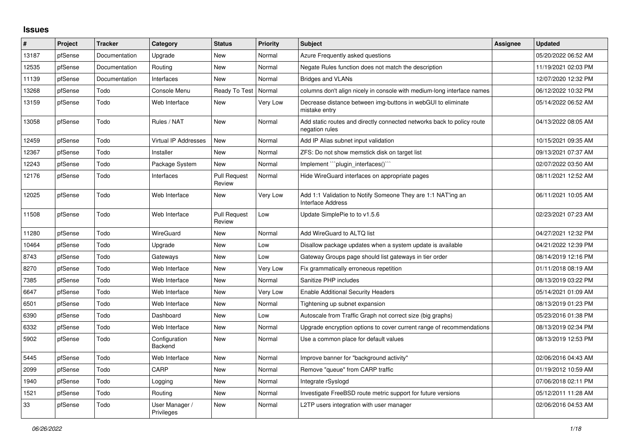## **Issues**

| $\#$  | Project | <b>Tracker</b> | Category                     | <b>Status</b>                 | <b>Priority</b> | <b>Subject</b>                                                                           | Assignee | <b>Updated</b>      |
|-------|---------|----------------|------------------------------|-------------------------------|-----------------|------------------------------------------------------------------------------------------|----------|---------------------|
| 13187 | pfSense | Documentation  | Upgrade                      | New                           | Normal          | Azure Frequently asked questions                                                         |          | 05/20/2022 06:52 AM |
| 12535 | pfSense | Documentation  | Routing                      | New                           | Normal          | Negate Rules function does not match the description                                     |          | 11/19/2021 02:03 PM |
| 11139 | pfSense | Documentation  | Interfaces                   | New                           | Normal          | <b>Bridges and VLANs</b>                                                                 |          | 12/07/2020 12:32 PM |
| 13268 | pfSense | Todo           | Console Menu                 | Ready To Test                 | Normal          | columns don't align nicely in console with medium-long interface names                   |          | 06/12/2022 10:32 PM |
| 13159 | pfSense | Todo           | Web Interface                | New                           | Very Low        | Decrease distance between img-buttons in webGUI to eliminate<br>mistake entry            |          | 05/14/2022 06:52 AM |
| 13058 | pfSense | Todo           | Rules / NAT                  | New                           | Normal          | Add static routes and directly connected networks back to policy route<br>negation rules |          | 04/13/2022 08:05 AM |
| 12459 | pfSense | Todo           | Virtual IP Addresses         | <b>New</b>                    | Normal          | Add IP Alias subnet input validation                                                     |          | 10/15/2021 09:35 AM |
| 12367 | pfSense | Todo           | Installer                    | <b>New</b>                    | Normal          | ZFS: Do not show memstick disk on target list                                            |          | 09/13/2021 07:37 AM |
| 12243 | pfSense | Todo           | Package System               | New                           | Normal          | Implement ```plugin interfaces()``                                                       |          | 02/07/2022 03:50 AM |
| 12176 | pfSense | Todo           | Interfaces                   | <b>Pull Request</b><br>Review | Normal          | Hide WireGuard interfaces on appropriate pages                                           |          | 08/11/2021 12:52 AM |
| 12025 | pfSense | Todo           | Web Interface                | New                           | Very Low        | Add 1:1 Validation to Notify Someone They are 1:1 NAT'ing an<br><b>Interface Address</b> |          | 06/11/2021 10:05 AM |
| 11508 | pfSense | Todo           | Web Interface                | <b>Pull Request</b><br>Review | Low             | Update SimplePie to to v1.5.6                                                            |          | 02/23/2021 07:23 AM |
| 11280 | pfSense | Todo           | WireGuard                    | New                           | Normal          | Add WireGuard to ALTQ list                                                               |          | 04/27/2021 12:32 PM |
| 10464 | pfSense | Todo           | Upgrade                      | New                           | Low             | Disallow package updates when a system update is available                               |          | 04/21/2022 12:39 PM |
| 8743  | pfSense | Todo           | Gateways                     | New                           | Low             | Gateway Groups page should list gateways in tier order                                   |          | 08/14/2019 12:16 PM |
| 8270  | pfSense | Todo           | Web Interface                | New                           | Very Low        | Fix grammatically erroneous repetition                                                   |          | 01/11/2018 08:19 AM |
| 7385  | pfSense | Todo           | Web Interface                | New                           | Normal          | Sanitize PHP includes                                                                    |          | 08/13/2019 03:22 PM |
| 6647  | pfSense | Todo           | Web Interface                | New                           | Very Low        | <b>Enable Additional Security Headers</b>                                                |          | 05/14/2021 01:09 AM |
| 6501  | pfSense | Todo           | Web Interface                | <b>New</b>                    | Normal          | Tightening up subnet expansion                                                           |          | 08/13/2019 01:23 PM |
| 6390  | pfSense | Todo           | Dashboard                    | New                           | Low             | Autoscale from Traffic Graph not correct size (big graphs)                               |          | 05/23/2016 01:38 PM |
| 6332  | pfSense | Todo           | Web Interface                | New                           | Normal          | Upgrade encryption options to cover current range of recommendations                     |          | 08/13/2019 02:34 PM |
| 5902  | pfSense | Todo           | Configuration<br>Backend     | <b>New</b>                    | Normal          | Use a common place for default values                                                    |          | 08/13/2019 12:53 PM |
| 5445  | pfSense | Todo           | Web Interface                | New                           | Normal          | Improve banner for "background activity"                                                 |          | 02/06/2016 04:43 AM |
| 2099  | pfSense | Todo           | CARP                         | New                           | Normal          | Remove "queue" from CARP traffic                                                         |          | 01/19/2012 10:59 AM |
| 1940  | pfSense | Todo           | Logging                      | New                           | Normal          | Integrate rSyslogd                                                                       |          | 07/06/2018 02:11 PM |
| 1521  | pfSense | Todo           | Routing                      | <b>New</b>                    | Normal          | Investigate FreeBSD route metric support for future versions                             |          | 05/12/2011 11:28 AM |
| 33    | pfSense | Todo           | User Manager /<br>Privileges | New                           | Normal          | L2TP users integration with user manager                                                 |          | 02/06/2016 04:53 AM |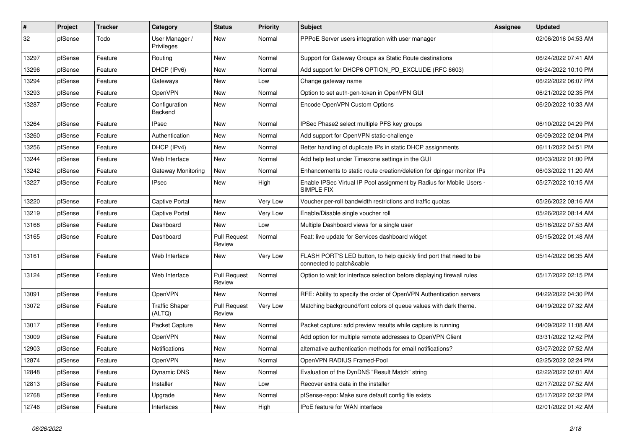| #     | Project | <b>Tracker</b> | Category                        | <b>Status</b>                 | <b>Priority</b> | <b>Subject</b>                                                                                 | Assignee | <b>Updated</b>      |
|-------|---------|----------------|---------------------------------|-------------------------------|-----------------|------------------------------------------------------------------------------------------------|----------|---------------------|
| 32    | pfSense | Todo           | User Manager /<br>Privileges    | New                           | Normal          | PPPoE Server users integration with user manager                                               |          | 02/06/2016 04:53 AM |
| 13297 | pfSense | Feature        | Routing                         | New                           | Normal          | Support for Gateway Groups as Static Route destinations                                        |          | 06/24/2022 07:41 AM |
| 13296 | pfSense | Feature        | DHCP (IPv6)                     | New                           | Normal          | Add support for DHCP6 OPTION_PD_EXCLUDE (RFC 6603)                                             |          | 06/24/2022 10:10 PM |
| 13294 | pfSense | Feature        | Gateways                        | <b>New</b>                    | Low             | Change gateway name                                                                            |          | 06/22/2022 06:07 PM |
| 13293 | pfSense | Feature        | <b>OpenVPN</b>                  | New                           | Normal          | Option to set auth-gen-token in OpenVPN GUI                                                    |          | 06/21/2022 02:35 PM |
| 13287 | pfSense | Feature        | Configuration<br>Backend        | New                           | Normal          | Encode OpenVPN Custom Options                                                                  |          | 06/20/2022 10:33 AM |
| 13264 | pfSense | Feature        | <b>IPsec</b>                    | <b>New</b>                    | Normal          | IPSec Phase2 select multiple PFS key groups                                                    |          | 06/10/2022 04:29 PM |
| 13260 | pfSense | Feature        | Authentication                  | New                           | Normal          | Add support for OpenVPN static-challenge                                                       |          | 06/09/2022 02:04 PM |
| 13256 | pfSense | Feature        | DHCP (IPv4)                     | New                           | Normal          | Better handling of duplicate IPs in static DHCP assignments                                    |          | 06/11/2022 04:51 PM |
| 13244 | pfSense | Feature        | Web Interface                   | New                           | Normal          | Add help text under Timezone settings in the GUI                                               |          | 06/03/2022 01:00 PM |
| 13242 | pfSense | Feature        | Gateway Monitoring              | <b>New</b>                    | Normal          | Enhancements to static route creation/deletion for dpinger monitor IPs                         |          | 06/03/2022 11:20 AM |
| 13227 | pfSense | Feature        | <b>IPsec</b>                    | New                           | High            | Enable IPSec Virtual IP Pool assignment by Radius for Mobile Users -<br>SIMPLE FIX             |          | 05/27/2022 10:15 AM |
| 13220 | pfSense | Feature        | <b>Captive Portal</b>           | New                           | Very Low        | Voucher per-roll bandwidth restrictions and traffic quotas                                     |          | 05/26/2022 08:16 AM |
| 13219 | pfSense | Feature        | <b>Captive Portal</b>           | New                           | Very Low        | Enable/Disable single voucher roll                                                             |          | 05/26/2022 08:14 AM |
| 13168 | pfSense | Feature        | Dashboard                       | New                           | Low             | Multiple Dashboard views for a single user                                                     |          | 05/16/2022 07:53 AM |
| 13165 | pfSense | Feature        | Dashboard                       | <b>Pull Request</b><br>Review | Normal          | Feat: live update for Services dashboard widget                                                |          | 05/15/2022 01:48 AM |
| 13161 | pfSense | Feature        | Web Interface                   | <b>New</b>                    | Very Low        | FLASH PORT'S LED button, to help quickly find port that need to be<br>connected to patch&cable |          | 05/14/2022 06:35 AM |
| 13124 | pfSense | Feature        | Web Interface                   | <b>Pull Request</b><br>Review | Normal          | Option to wait for interface selection before displaying firewall rules                        |          | 05/17/2022 02:15 PM |
| 13091 | pfSense | Feature        | OpenVPN                         | New                           | Normal          | RFE: Ability to specify the order of OpenVPN Authentication servers                            |          | 04/22/2022 04:30 PM |
| 13072 | pfSense | Feature        | <b>Traffic Shaper</b><br>(ALTQ) | <b>Pull Request</b><br>Review | Very Low        | Matching background/font colors of queue values with dark theme.                               |          | 04/19/2022 07:32 AM |
| 13017 | pfSense | Feature        | Packet Capture                  | <b>New</b>                    | Normal          | Packet capture: add preview results while capture is running                                   |          | 04/09/2022 11:08 AM |
| 13009 | pfSense | Feature        | OpenVPN                         | <b>New</b>                    | Normal          | Add option for multiple remote addresses to OpenVPN Client                                     |          | 03/31/2022 12:42 PM |
| 12903 | pfSense | Feature        | <b>Notifications</b>            | New                           | Normal          | alternative authentication methods for email notifications?                                    |          | 03/07/2022 07:52 AM |
| 12874 | pfSense | Feature        | OpenVPN                         | New                           | Normal          | OpenVPN RADIUS Framed-Pool                                                                     |          | 02/25/2022 02:24 PM |
| 12848 | pfSense | Feature        | Dynamic DNS                     | New                           | Normal          | Evaluation of the DynDNS "Result Match" string                                                 |          | 02/22/2022 02:01 AM |
| 12813 | pfSense | Feature        | Installer                       | New                           | Low             | Recover extra data in the installer                                                            |          | 02/17/2022 07:52 AM |
| 12768 | pfSense | Feature        | Upgrade                         | New                           | Normal          | pfSense-repo: Make sure default config file exists                                             |          | 05/17/2022 02:32 PM |
| 12746 | pfSense | Feature        | Interfaces                      | New                           | High            | IPoE feature for WAN interface                                                                 |          | 02/01/2022 01:42 AM |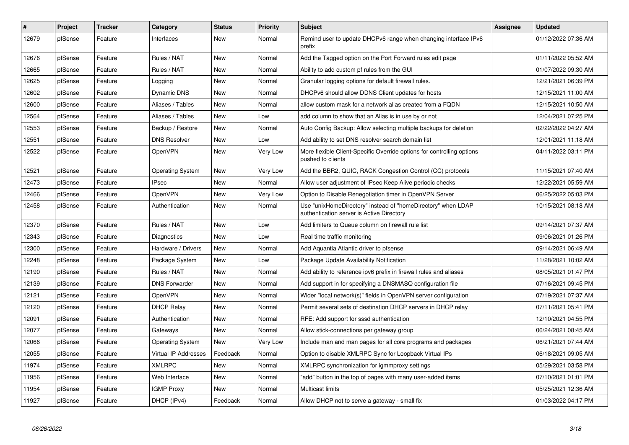| $\vert$ # | Project | <b>Tracker</b> | Category                | <b>Status</b> | <b>Priority</b> | <b>Subject</b>                                                                                            | Assignee | <b>Updated</b>      |
|-----------|---------|----------------|-------------------------|---------------|-----------------|-----------------------------------------------------------------------------------------------------------|----------|---------------------|
| 12679     | pfSense | Feature        | Interfaces              | New           | Normal          | Remind user to update DHCPv6 range when changing interface IPv6<br>prefix                                 |          | 01/12/2022 07:36 AM |
| 12676     | pfSense | Feature        | Rules / NAT             | New           | Normal          | Add the Tagged option on the Port Forward rules edit page                                                 |          | 01/11/2022 05:52 AM |
| 12665     | pfSense | Feature        | Rules / NAT             | <b>New</b>    | Normal          | Ability to add custom pf rules from the GUI                                                               |          | 01/07/2022 09:30 AM |
| 12625     | pfSense | Feature        | Logging                 | New           | Normal          | Granular logging options for default firewall rules.                                                      |          | 12/21/2021 06:39 PM |
| 12602     | pfSense | Feature        | Dynamic DNS             | New           | Normal          | DHCPv6 should allow DDNS Client updates for hosts                                                         |          | 12/15/2021 11:00 AM |
| 12600     | pfSense | Feature        | Aliases / Tables        | <b>New</b>    | Normal          | allow custom mask for a network alias created from a FQDN                                                 |          | 12/15/2021 10:50 AM |
| 12564     | pfSense | Feature        | Aliases / Tables        | <b>New</b>    | Low             | add column to show that an Alias is in use by or not                                                      |          | 12/04/2021 07:25 PM |
| 12553     | pfSense | Feature        | Backup / Restore        | <b>New</b>    | Normal          | Auto Config Backup: Allow selecting multiple backups for deletion                                         |          | 02/22/2022 04:27 AM |
| 12551     | pfSense | Feature        | <b>DNS Resolver</b>     | New           | Low             | Add ability to set DNS resolver search domain list                                                        |          | 12/01/2021 11:18 AM |
| 12522     | pfSense | Feature        | OpenVPN                 | <b>New</b>    | Very Low        | More flexible Client-Specific Override options for controlling options<br>pushed to clients               |          | 04/11/2022 03:11 PM |
| 12521     | pfSense | Feature        | <b>Operating System</b> | New           | Very Low        | Add the BBR2, QUIC, RACK Congestion Control (CC) protocols                                                |          | 11/15/2021 07:40 AM |
| 12473     | pfSense | Feature        | <b>IPsec</b>            | New           | Normal          | Allow user adjustment of IPsec Keep Alive periodic checks                                                 |          | 12/22/2021 05:59 AM |
| 12466     | pfSense | Feature        | OpenVPN                 | New           | Very Low        | Option to Disable Renegotiation timer in OpenVPN Server                                                   |          | 06/25/2022 05:03 PM |
| 12458     | pfSense | Feature        | Authentication          | New           | Normal          | Use "unixHomeDirectory" instead of "homeDirectory" when LDAP<br>authentication server is Active Directory |          | 10/15/2021 08:18 AM |
| 12370     | pfSense | Feature        | Rules / NAT             | New           | Low             | Add limiters to Queue column on firewall rule list                                                        |          | 09/14/2021 07:37 AM |
| 12343     | pfSense | Feature        | Diagnostics             | New           | Low             | Real time traffic monitoring                                                                              |          | 09/06/2021 01:26 PM |
| 12300     | pfSense | Feature        | Hardware / Drivers      | New           | Normal          | Add Aquantia Atlantic driver to pfsense                                                                   |          | 09/14/2021 06:49 AM |
| 12248     | pfSense | Feature        | Package System          | New           | Low             | Package Update Availability Notification                                                                  |          | 11/28/2021 10:02 AM |
| 12190     | pfSense | Feature        | Rules / NAT             | New           | Normal          | Add ability to reference ipv6 prefix in firewall rules and aliases                                        |          | 08/05/2021 01:47 PM |
| 12139     | pfSense | Feature        | <b>DNS Forwarder</b>    | New           | Normal          | Add support in for specifying a DNSMASQ configuration file                                                |          | 07/16/2021 09:45 PM |
| 12121     | pfSense | Feature        | <b>OpenVPN</b>          | New           | Normal          | Wider "local network(s)" fields in OpenVPN server configuration                                           |          | 07/19/2021 07:37 AM |
| 12120     | pfSense | Feature        | <b>DHCP Relay</b>       | <b>New</b>    | Normal          | Permit several sets of destination DHCP servers in DHCP relay                                             |          | 07/11/2021 05:41 PM |
| 12091     | pfSense | Feature        | Authentication          | New           | Normal          | RFE: Add support for sssd authentication                                                                  |          | 12/10/2021 04:55 PM |
| 12077     | pfSense | Feature        | Gateways                | New           | Normal          | Allow stick-connections per gateway group                                                                 |          | 06/24/2021 08:45 AM |
| 12066     | pfSense | Feature        | <b>Operating System</b> | New           | Very Low        | Include man and man pages for all core programs and packages                                              |          | 06/21/2021 07:44 AM |
| 12055     | pfSense | Feature        | Virtual IP Addresses    | Feedback      | Normal          | Option to disable XMLRPC Sync for Loopback Virtual IPs                                                    |          | 06/18/2021 09:05 AM |
| 11974     | pfSense | Feature        | <b>XMLRPC</b>           | New           | Normal          | XMLRPC synchronization for igmmproxy settings                                                             |          | 05/29/2021 03:58 PM |
| 11956     | pfSense | Feature        | Web Interface           | New           | Normal          | "add" button in the top of pages with many user-added items                                               |          | 07/10/2021 01:01 PM |
| 11954     | pfSense | Feature        | <b>IGMP Proxy</b>       | New           | Normal          | <b>Multicast limits</b>                                                                                   |          | 05/25/2021 12:36 AM |
| 11927     | pfSense | Feature        | DHCP (IPv4)             | Feedback      | Normal          | Allow DHCP not to serve a gateway - small fix                                                             |          | 01/03/2022 04:17 PM |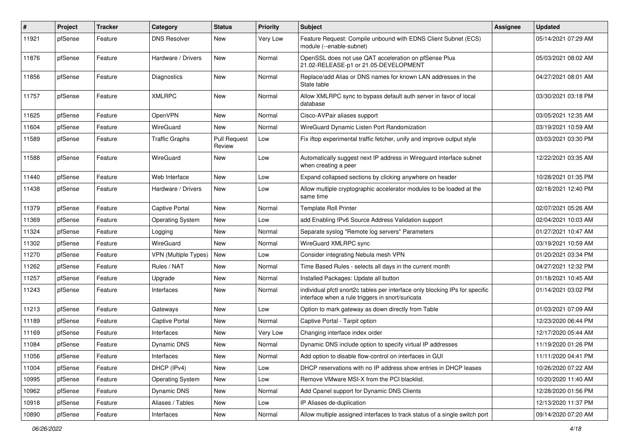| ∦     | Project | <b>Tracker</b> | Category                | <b>Status</b>                 | <b>Priority</b> | <b>Subject</b>                                                                                                                   | <b>Assignee</b> | <b>Updated</b>      |
|-------|---------|----------------|-------------------------|-------------------------------|-----------------|----------------------------------------------------------------------------------------------------------------------------------|-----------------|---------------------|
| 11921 | pfSense | Feature        | <b>DNS Resolver</b>     | New                           | Very Low        | Feature Request: Compile unbound with EDNS Client Subnet (ECS)<br>module (--enable-subnet)                                       |                 | 05/14/2021 07:29 AM |
| 11876 | pfSense | Feature        | Hardware / Drivers      | New                           | Normal          | OpenSSL does not use QAT acceleration on pfSense Plus<br>21.02-RELEASE-p1 or 21.05-DEVELOPMENT                                   |                 | 05/03/2021 08:02 AM |
| 11856 | pfSense | Feature        | Diagnostics             | <b>New</b>                    | Normal          | Replace/add Alias or DNS names for known LAN addresses in the<br>State table                                                     |                 | 04/27/2021 08:01 AM |
| 11757 | pfSense | Feature        | <b>XMLRPC</b>           | New                           | Normal          | Allow XMLRPC sync to bypass default auth server in favor of local<br>database                                                    |                 | 03/30/2021 03:18 PM |
| 11625 | pfSense | Feature        | <b>OpenVPN</b>          | New                           | Normal          | Cisco-AVPair aliases support                                                                                                     |                 | 03/05/2021 12:35 AM |
| 11604 | pfSense | Feature        | WireGuard               | New                           | Normal          | WireGuard Dynamic Listen Port Randomization                                                                                      |                 | 03/19/2021 10:59 AM |
| 11589 | pfSense | Feature        | <b>Traffic Graphs</b>   | <b>Pull Request</b><br>Review | Low             | Fix iftop experimental traffic fetcher, unify and improve output style                                                           |                 | 03/03/2021 03:30 PM |
| 11588 | pfSense | Feature        | WireGuard               | New                           | Low             | Automatically suggest next IP address in Wireguard interface subnet<br>when creating a peer                                      |                 | 12/22/2021 03:35 AM |
| 11440 | pfSense | Feature        | Web Interface           | <b>New</b>                    | Low             | Expand collapsed sections by clicking anywhere on header                                                                         |                 | 10/28/2021 01:35 PM |
| 11438 | pfSense | Feature        | Hardware / Drivers      | <b>New</b>                    | Low             | Allow multiple cryptographic accelerator modules to be loaded at the<br>same time                                                |                 | 02/18/2021 12:40 PM |
| 11379 | pfSense | Feature        | <b>Captive Portal</b>   | New                           | Normal          | <b>Template Roll Printer</b>                                                                                                     |                 | 02/07/2021 05:26 AM |
| 11369 | pfSense | Feature        | <b>Operating System</b> | <b>New</b>                    | Low             | add Enabling IPv6 Source Address Validation support                                                                              |                 | 02/04/2021 10:03 AM |
| 11324 | pfSense | Feature        | Logging                 | New                           | Normal          | Separate syslog "Remote log servers" Parameters                                                                                  |                 | 01/27/2021 10:47 AM |
| 11302 | pfSense | Feature        | WireGuard               | <b>New</b>                    | Normal          | WireGuard XMLRPC sync                                                                                                            |                 | 03/19/2021 10:59 AM |
| 11270 | pfSense | Feature        | VPN (Multiple Types)    | New                           | Low             | Consider integrating Nebula mesh VPN                                                                                             |                 | 01/20/2021 03:34 PM |
| 11262 | pfSense | Feature        | Rules / NAT             | New                           | Normal          | Time Based Rules - selects all days in the current month                                                                         |                 | 04/27/2021 12:32 PM |
| 11257 | pfSense | Feature        | Upgrade                 | <b>New</b>                    | Normal          | Installed Packages: Update all button                                                                                            |                 | 01/18/2021 10:45 AM |
| 11243 | pfSense | Feature        | Interfaces              | New                           | Normal          | individual pfctl snort2c tables per interface only blocking IPs for specific<br>interface when a rule triggers in snort/suricata |                 | 01/14/2021 03:02 PM |
| 11213 | pfSense | Feature        | Gateways                | <b>New</b>                    | Low             | Option to mark gateway as down directly from Table                                                                               |                 | 01/03/2021 07:09 AM |
| 11189 | pfSense | Feature        | Captive Portal          | New                           | Normal          | Captive Portal - Tarpit option                                                                                                   |                 | 12/23/2020 06:44 PM |
| 11169 | pfSense | Feature        | Interfaces              | <b>New</b>                    | Very Low        | Changing interface index order                                                                                                   |                 | 12/17/2020 05:44 AM |
| 11084 | pfSense | Feature        | <b>Dynamic DNS</b>      | New                           | Normal          | Dynamic DNS include option to specify virtual IP addresses                                                                       |                 | 11/19/2020 01:26 PM |
| 11056 | pfSense | Feature        | Interfaces              | New                           | Normal          | Add option to disable flow-control on interfaces in GUI                                                                          |                 | 11/11/2020 04:41 PM |
| 11004 | pfSense | Feature        | DHCP (IPv4)             | New                           | Low             | DHCP reservations with no IP address show entries in DHCP leases                                                                 |                 | 10/26/2020 07:22 AM |
| 10995 | pfSense | Feature        | <b>Operating System</b> | New                           | Low             | Remove VMware MSI-X from the PCI blacklist.                                                                                      |                 | 10/20/2020 11:40 AM |
| 10962 | pfSense | Feature        | Dynamic DNS             | New                           | Normal          | Add Cpanel support for Dynamic DNS Clients                                                                                       |                 | 12/28/2020 01:56 PM |
| 10918 | pfSense | Feature        | Aliases / Tables        | New                           | Low             | IP Aliases de-duplication                                                                                                        |                 | 12/13/2020 11:37 PM |
| 10890 | pfSense | Feature        | Interfaces              | New                           | Normal          | Allow multiple assigned interfaces to track status of a single switch port                                                       |                 | 09/14/2020 07:20 AM |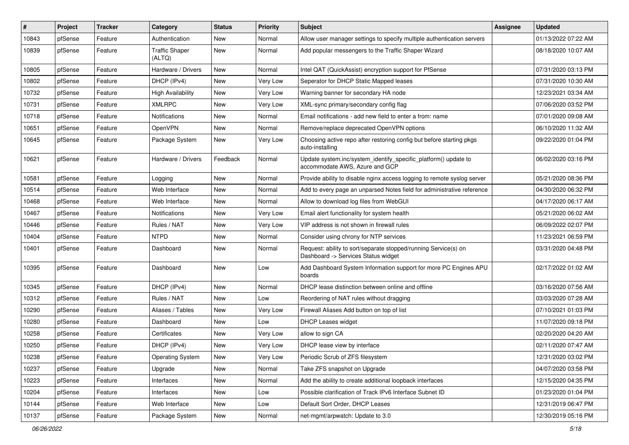| #     | Project | <b>Tracker</b> | Category                        | <b>Status</b> | <b>Priority</b> | Subject                                                                                                | <b>Assignee</b> | <b>Updated</b>      |
|-------|---------|----------------|---------------------------------|---------------|-----------------|--------------------------------------------------------------------------------------------------------|-----------------|---------------------|
| 10843 | pfSense | Feature        | Authentication                  | New           | Normal          | Allow user manager settings to specify multiple authentication servers                                 |                 | 01/13/2022 07:22 AM |
| 10839 | pfSense | Feature        | <b>Traffic Shaper</b><br>(ALTQ) | New           | Normal          | Add popular messengers to the Traffic Shaper Wizard                                                    |                 | 08/18/2020 10:07 AM |
| 10805 | pfSense | Feature        | Hardware / Drivers              | New           | Normal          | Intel QAT (QuickAssist) encryption support for PfSense                                                 |                 | 07/31/2020 03:13 PM |
| 10802 | pfSense | Feature        | DHCP (IPv4)                     | <b>New</b>    | Very Low        | Seperator for DHCP Static Mapped leases                                                                |                 | 07/31/2020 10:30 AM |
| 10732 | pfSense | Feature        | <b>High Availability</b>        | New           | Very Low        | Warning banner for secondary HA node                                                                   |                 | 12/23/2021 03:34 AM |
| 10731 | pfSense | Feature        | <b>XMLRPC</b>                   | <b>New</b>    | Very Low        | XML-sync primary/secondary config flag                                                                 |                 | 07/06/2020 03:52 PM |
| 10718 | pfSense | Feature        | <b>Notifications</b>            | New           | Normal          | Email notifications - add new field to enter a from: name                                              |                 | 07/01/2020 09:08 AM |
| 10651 | pfSense | Feature        | OpenVPN                         | New           | Normal          | Remove/replace deprecated OpenVPN options                                                              |                 | 06/10/2020 11:32 AM |
| 10645 | pfSense | Feature        | Package System                  | New           | Very Low        | Choosing active repo after restoring config but before starting pkgs<br>auto-installing                |                 | 09/22/2020 01:04 PM |
| 10621 | pfSense | Feature        | Hardware / Drivers              | Feedback      | Normal          | Update system.inc/system_identify_specific_platform() update to<br>accommodate AWS, Azure and GCP      |                 | 06/02/2020 03:16 PM |
| 10581 | pfSense | Feature        | Logging                         | New           | Normal          | Provide ability to disable nginx access logging to remote syslog server                                |                 | 05/21/2020 08:36 PM |
| 10514 | pfSense | Feature        | Web Interface                   | New           | Normal          | Add to every page an unparsed Notes field for administrative reference                                 |                 | 04/30/2020 06:32 PM |
| 10468 | pfSense | Feature        | Web Interface                   | New           | Normal          | Allow to download log files from WebGUI                                                                |                 | 04/17/2020 06:17 AM |
| 10467 | pfSense | Feature        | <b>Notifications</b>            | New           | Very Low        | Email alert functionality for system health                                                            |                 | 05/21/2020 06:02 AM |
| 10446 | pfSense | Feature        | Rules / NAT                     | <b>New</b>    | Very Low        | VIP address is not shown in firewall rules                                                             |                 | 06/09/2022 02:07 PM |
| 10404 | pfSense | Feature        | <b>NTPD</b>                     | New           | Normal          | Consider using chrony for NTP services                                                                 |                 | 11/23/2021 06:59 PM |
| 10401 | pfSense | Feature        | Dashboard                       | New           | Normal          | Request: ability to sort/separate stopped/running Service(s) on<br>Dashboard -> Services Status widget |                 | 03/31/2020 04:48 PM |
| 10395 | pfSense | Feature        | Dashboard                       | New           | Low             | Add Dashboard System Information support for more PC Engines APU<br>boards                             |                 | 02/17/2022 01:02 AM |
| 10345 | pfSense | Feature        | DHCP (IPv4)                     | <b>New</b>    | Normal          | DHCP lease distinction between online and offline                                                      |                 | 03/16/2020 07:56 AM |
| 10312 | pfSense | Feature        | Rules / NAT                     | New           | Low             | Reordering of NAT rules without dragging                                                               |                 | 03/03/2020 07:28 AM |
| 10290 | pfSense | Feature        | Aliases / Tables                | New           | Very Low        | Firewall Aliases Add button on top of list                                                             |                 | 07/10/2021 01:03 PM |
| 10280 | pfSense | Feature        | Dashboard                       | New           | Low             | <b>DHCP Leases widget</b>                                                                              |                 | 11/07/2020 09:18 PM |
| 10258 | pfSense | Feature        | Certificates                    | New           | Very Low        | allow to sign CA                                                                                       |                 | 02/20/2020 04:20 AM |
| 10250 | pfSense | Feature        | DHCP (IPv4)                     | <b>New</b>    | Very Low        | DHCP lease view by interface                                                                           |                 | 02/11/2020 07:47 AM |
| 10238 | pfSense | Feature        | <b>Operating System</b>         | New           | Very Low        | Periodic Scrub of ZFS filesystem                                                                       |                 | 12/31/2020 03:02 PM |
| 10237 | pfSense | Feature        | Upgrade                         | New           | Normal          | Take ZFS snapshot on Upgrade                                                                           |                 | 04/07/2020 03:58 PM |
| 10223 | pfSense | Feature        | Interfaces                      | New           | Normal          | Add the ability to create additional loopback interfaces                                               |                 | 12/15/2020 04:35 PM |
| 10204 | pfSense | Feature        | Interfaces                      | New           | Low             | Possible clarification of Track IPv6 Interface Subnet ID                                               |                 | 01/23/2020 01:04 PM |
| 10144 | pfSense | Feature        | Web Interface                   | New           | Low             | Default Sort Order, DHCP Leases                                                                        |                 | 12/31/2019 06:47 PM |
| 10137 | pfSense | Feature        | Package System                  | New           | Normal          | net-mgmt/arpwatch: Update to 3.0                                                                       |                 | 12/30/2019 05:16 PM |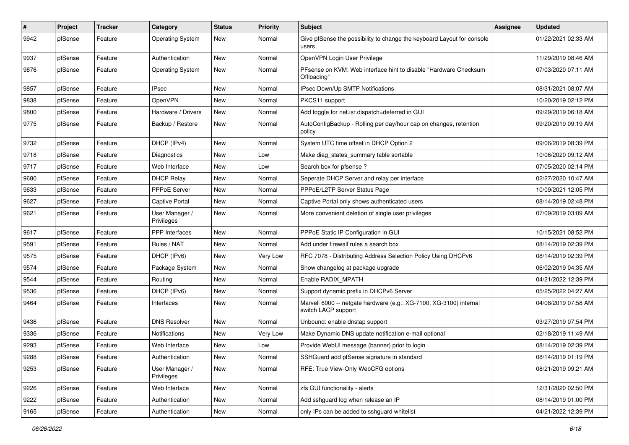| #    | Project | <b>Tracker</b> | Category                     | <b>Status</b> | <b>Priority</b> | Subject                                                                                   | Assignee | <b>Updated</b>      |
|------|---------|----------------|------------------------------|---------------|-----------------|-------------------------------------------------------------------------------------------|----------|---------------------|
| 9942 | pfSense | Feature        | <b>Operating System</b>      | New           | Normal          | Give pfSense the possibility to change the keyboard Layout for console<br>users           |          | 01/22/2021 02:33 AM |
| 9937 | pfSense | Feature        | Authentication               | New           | Normal          | OpenVPN Login User Privilege                                                              |          | 11/29/2019 08:46 AM |
| 9876 | pfSense | Feature        | <b>Operating System</b>      | New           | Normal          | PFsense on KVM: Web interface hint to disable "Hardware Checksum<br>Offloading"           |          | 07/03/2020 07:11 AM |
| 9857 | pfSense | Feature        | <b>IPsec</b>                 | <b>New</b>    | Normal          | IPsec Down/Up SMTP Notifications                                                          |          | 08/31/2021 08:07 AM |
| 9838 | pfSense | Feature        | OpenVPN                      | <b>New</b>    | Normal          | PKCS11 support                                                                            |          | 10/20/2019 02:12 PM |
| 9800 | pfSense | Feature        | Hardware / Drivers           | New           | Normal          | Add toggle for net.isr.dispatch=deferred in GUI                                           |          | 09/29/2019 06:18 AM |
| 9775 | pfSense | Feature        | Backup / Restore             | New           | Normal          | AutoConfigBackup - Rolling per day/hour cap on changes, retention<br>policy               |          | 09/20/2019 09:19 AM |
| 9732 | pfSense | Feature        | DHCP (IPv4)                  | New           | Normal          | System UTC time offset in DHCP Option 2                                                   |          | 09/06/2019 08:39 PM |
| 9718 | pfSense | Feature        | Diagnostics                  | New           | Low             | Make diag states summary table sortable                                                   |          | 10/06/2020 09:12 AM |
| 9717 | pfSense | Feature        | Web Interface                | <b>New</b>    | Low             | Search box for pfsense ?                                                                  |          | 07/05/2020 02:14 PM |
| 9680 | pfSense | Feature        | <b>DHCP Relay</b>            | New           | Normal          | Seperate DHCP Server and relay per interface                                              |          | 02/27/2020 10:47 AM |
| 9633 | pfSense | Feature        | PPPoE Server                 | <b>New</b>    | Normal          | PPPoE/L2TP Server Status Page                                                             |          | 10/09/2021 12:05 PM |
| 9627 | pfSense | Feature        | Captive Portal               | New           | Normal          | Captive Portal only shows authenticated users                                             |          | 08/14/2019 02:48 PM |
| 9621 | pfSense | Feature        | User Manager /<br>Privileges | New           | Normal          | More convenient deletion of single user privileges                                        |          | 07/09/2019 03:09 AM |
| 9617 | pfSense | Feature        | <b>PPP</b> Interfaces        | New           | Normal          | PPPoE Static IP Configuration in GUI                                                      |          | 10/15/2021 08:52 PM |
| 9591 | pfSense | Feature        | Rules / NAT                  | New           | Normal          | Add under firewall rules a search box                                                     |          | 08/14/2019 02:39 PM |
| 9575 | pfSense | Feature        | DHCP (IPv6)                  | <b>New</b>    | Very Low        | RFC 7078 - Distributing Address Selection Policy Using DHCPv6                             |          | 08/14/2019 02:39 PM |
| 9574 | pfSense | Feature        | Package System               | <b>New</b>    | Normal          | Show changelog at package upgrade                                                         |          | 06/02/2019 04:35 AM |
| 9544 | pfSense | Feature        | Routing                      | <b>New</b>    | Normal          | Enable RADIX_MPATH                                                                        |          | 04/21/2022 12:39 PM |
| 9536 | pfSense | Feature        | DHCP (IPv6)                  | New           | Normal          | Support dynamic prefix in DHCPv6 Server                                                   |          | 05/25/2022 04:27 AM |
| 9464 | pfSense | Feature        | Interfaces                   | New           | Normal          | Marvell 6000 -- netgate hardware (e.g.: XG-7100, XG-3100) internal<br>switch LACP support |          | 04/08/2019 07:58 AM |
| 9436 | pfSense | Feature        | <b>DNS Resolver</b>          | New           | Normal          | Unbound: enable dnstap support                                                            |          | 03/27/2019 07:54 PM |
| 9336 | pfSense | Feature        | Notifications                | New           | Very Low        | Make Dynamic DNS update notification e-mail optional                                      |          | 02/18/2019 11:49 AM |
| 9293 | pfSense | Feature        | Web Interface                | <b>New</b>    | Low             | Provide WebUI message (banner) prior to login                                             |          | 08/14/2019 02:39 PM |
| 9288 | pfSense | Feature        | Authentication               | New           | Normal          | SSHGuard add pfSense signature in standard                                                |          | 08/14/2019 01:19 PM |
| 9253 | pfSense | Feature        | User Manager /<br>Privileges | New           | Normal          | RFE: True View-Only WebCFG options                                                        |          | 08/21/2019 09:21 AM |
| 9226 | pfSense | Feature        | Web Interface                | New           | Normal          | zfs GUI functionality - alerts                                                            |          | 12/31/2020 02:50 PM |
| 9222 | pfSense | Feature        | Authentication               | New           | Normal          | Add sshguard log when release an IP                                                       |          | 08/14/2019 01:00 PM |
| 9165 | pfSense | Feature        | Authentication               | New           | Normal          | only IPs can be added to sshguard whitelist                                               |          | 04/21/2022 12:39 PM |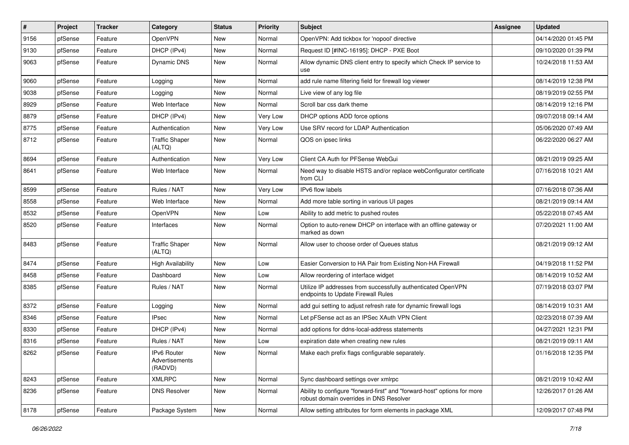| #    | Project | <b>Tracker</b> | Category                                 | <b>Status</b> | <b>Priority</b> | Subject                                                                                                             | <b>Assignee</b> | <b>Updated</b>      |
|------|---------|----------------|------------------------------------------|---------------|-----------------|---------------------------------------------------------------------------------------------------------------------|-----------------|---------------------|
| 9156 | pfSense | Feature        | <b>OpenVPN</b>                           | New           | Normal          | OpenVPN: Add tickbox for 'nopool' directive                                                                         |                 | 04/14/2020 01:45 PM |
| 9130 | pfSense | Feature        | DHCP (IPv4)                              | <b>New</b>    | Normal          | Request ID [#INC-16195]: DHCP - PXE Boot                                                                            |                 | 09/10/2020 01:39 PM |
| 9063 | pfSense | Feature        | Dynamic DNS                              | New           | Normal          | Allow dynamic DNS client entry to specify which Check IP service to<br>use                                          |                 | 10/24/2018 11:53 AM |
| 9060 | pfSense | Feature        | Logging                                  | <b>New</b>    | Normal          | add rule name filtering field for firewall log viewer                                                               |                 | 08/14/2019 12:38 PM |
| 9038 | pfSense | Feature        | Logging                                  | New           | Normal          | Live view of any log file                                                                                           |                 | 08/19/2019 02:55 PM |
| 8929 | pfSense | Feature        | Web Interface                            | New           | Normal          | Scroll bar css dark theme                                                                                           |                 | 08/14/2019 12:16 PM |
| 8879 | pfSense | Feature        | DHCP (IPv4)                              | New           | Very Low        | DHCP options ADD force options                                                                                      |                 | 09/07/2018 09:14 AM |
| 8775 | pfSense | Feature        | Authentication                           | New           | Very Low        | Use SRV record for LDAP Authentication                                                                              |                 | 05/06/2020 07:49 AM |
| 8712 | pfSense | Feature        | <b>Traffic Shaper</b><br>(ALTQ)          | <b>New</b>    | Normal          | QOS on ipsec links                                                                                                  |                 | 06/22/2020 06:27 AM |
| 8694 | pfSense | Feature        | Authentication                           | <b>New</b>    | Very Low        | Client CA Auth for PFSense WebGui                                                                                   |                 | 08/21/2019 09:25 AM |
| 8641 | pfSense | Feature        | Web Interface                            | <b>New</b>    | Normal          | Need way to disable HSTS and/or replace webConfigurator certificate<br>from CLI                                     |                 | 07/16/2018 10:21 AM |
| 8599 | pfSense | Feature        | Rules / NAT                              | New           | Very Low        | IPv6 flow labels                                                                                                    |                 | 07/16/2018 07:36 AM |
| 8558 | pfSense | Feature        | Web Interface                            | New           | Normal          | Add more table sorting in various UI pages                                                                          |                 | 08/21/2019 09:14 AM |
| 8532 | pfSense | Feature        | OpenVPN                                  | New           | Low             | Ability to add metric to pushed routes                                                                              |                 | 05/22/2018 07:45 AM |
| 8520 | pfSense | Feature        | Interfaces                               | New           | Normal          | Option to auto-renew DHCP on interface with an offline gateway or<br>marked as down                                 |                 | 07/20/2021 11:00 AM |
| 8483 | pfSense | Feature        | <b>Traffic Shaper</b><br>(ALTQ)          | New           | Normal          | Allow user to choose order of Queues status                                                                         |                 | 08/21/2019 09:12 AM |
| 8474 | pfSense | Feature        | <b>High Availability</b>                 | New           | Low             | Easier Conversion to HA Pair from Existing Non-HA Firewall                                                          |                 | 04/19/2018 11:52 PM |
| 8458 | pfSense | Feature        | Dashboard                                | New           | Low             | Allow reordering of interface widget                                                                                |                 | 08/14/2019 10:52 AM |
| 8385 | pfSense | Feature        | Rules / NAT                              | <b>New</b>    | Normal          | Utilize IP addresses from successfully authenticated OpenVPN<br>endpoints to Update Firewall Rules                  |                 | 07/19/2018 03:07 PM |
| 8372 | pfSense | Feature        | Logging                                  | New           | Normal          | add gui setting to adjust refresh rate for dynamic firewall logs                                                    |                 | 08/14/2019 10:31 AM |
| 8346 | pfSense | Feature        | <b>IPsec</b>                             | New           | Normal          | Let pFSense act as an IPSec XAuth VPN Client                                                                        |                 | 02/23/2018 07:39 AM |
| 8330 | pfSense | Feature        | DHCP (IPv4)                              | New           | Normal          | add options for ddns-local-address statements                                                                       |                 | 04/27/2021 12:31 PM |
| 8316 | pfSense | Feature        | Rules / NAT                              | New           | Low             | expiration date when creating new rules                                                                             |                 | 08/21/2019 09:11 AM |
| 8262 | pfSense | Feature        | IPv6 Router<br>Advertisements<br>(RADVD) | New           | Normal          | Make each prefix flags configurable separately.                                                                     |                 | 01/16/2018 12:35 PM |
| 8243 | pfSense | Feature        | <b>XMLRPC</b>                            | New           | Normal          | Sync dashboard settings over xmlrpc                                                                                 |                 | 08/21/2019 10:42 AM |
| 8236 | pfSense | Feature        | <b>DNS Resolver</b>                      | New           | Normal          | Ability to configure "forward-first" and "forward-host" options for more<br>robust domain overrides in DNS Resolver |                 | 12/26/2017 01:26 AM |
| 8178 | pfSense | Feature        | Package System                           | New           | Normal          | Allow setting attributes for form elements in package XML                                                           |                 | 12/09/2017 07:48 PM |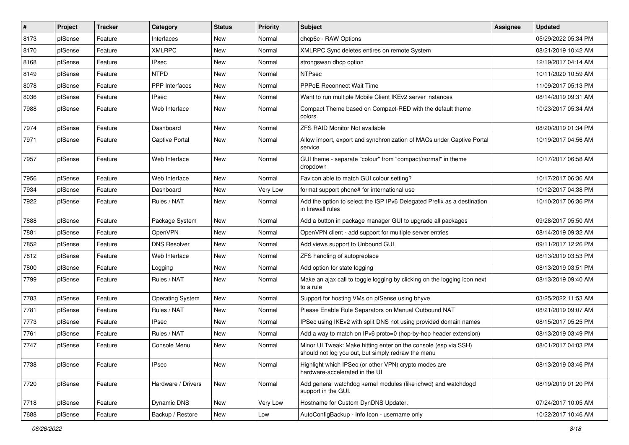| $\vert$ # | Project | <b>Tracker</b> | Category                | <b>Status</b> | <b>Priority</b> | Subject                                                                                                               | Assignee | <b>Updated</b>      |
|-----------|---------|----------------|-------------------------|---------------|-----------------|-----------------------------------------------------------------------------------------------------------------------|----------|---------------------|
| 8173      | pfSense | Feature        | Interfaces              | New           | Normal          | dhcp6c - RAW Options                                                                                                  |          | 05/29/2022 05:34 PM |
| 8170      | pfSense | Feature        | <b>XMLRPC</b>           | New           | Normal          | XMLRPC Sync deletes entires on remote System                                                                          |          | 08/21/2019 10:42 AM |
| 8168      | pfSense | Feature        | IPsec                   | New           | Normal          | strongswan dhcp option                                                                                                |          | 12/19/2017 04:14 AM |
| 8149      | pfSense | Feature        | <b>NTPD</b>             | New           | Normal          | <b>NTPsec</b>                                                                                                         |          | 10/11/2020 10:59 AM |
| 8078      | pfSense | Feature        | PPP Interfaces          | New           | Normal          | PPPoE Reconnect Wait Time                                                                                             |          | 11/09/2017 05:13 PM |
| 8036      | pfSense | Feature        | <b>IPsec</b>            | New           | Normal          | Want to run multiple Mobile Client IKEv2 server instances                                                             |          | 08/14/2019 09:31 AM |
| 7988      | pfSense | Feature        | Web Interface           | New           | Normal          | Compact Theme based on Compact-RED with the default theme<br>colors.                                                  |          | 10/23/2017 05:34 AM |
| 7974      | pfSense | Feature        | Dashboard               | <b>New</b>    | Normal          | ZFS RAID Monitor Not available                                                                                        |          | 08/20/2019 01:34 PM |
| 7971      | pfSense | Feature        | Captive Portal          | New           | Normal          | Allow import, export and synchronization of MACs under Captive Portal<br>service                                      |          | 10/19/2017 04:56 AM |
| 7957      | pfSense | Feature        | Web Interface           | <b>New</b>    | Normal          | GUI theme - separate "colour" from "compact/normal" in theme<br>dropdown                                              |          | 10/17/2017 06:58 AM |
| 7956      | pfSense | Feature        | Web Interface           | New           | Normal          | Favicon able to match GUI colour setting?                                                                             |          | 10/17/2017 06:36 AM |
| 7934      | pfSense | Feature        | Dashboard               | New           | Very Low        | format support phone# for international use                                                                           |          | 10/12/2017 04:38 PM |
| 7922      | pfSense | Feature        | Rules / NAT             | New           | Normal          | Add the option to select the ISP IPv6 Delegated Prefix as a destination<br>in firewall rules                          |          | 10/10/2017 06:36 PM |
| 7888      | pfSense | Feature        | Package System          | <b>New</b>    | Normal          | Add a button in package manager GUI to upgrade all packages                                                           |          | 09/28/2017 05:50 AM |
| 7881      | pfSense | Feature        | <b>OpenVPN</b>          | New           | Normal          | OpenVPN client - add support for multiple server entries                                                              |          | 08/14/2019 09:32 AM |
| 7852      | pfSense | Feature        | <b>DNS Resolver</b>     | <b>New</b>    | Normal          | Add views support to Unbound GUI                                                                                      |          | 09/11/2017 12:26 PM |
| 7812      | pfSense | Feature        | Web Interface           | <b>New</b>    | Normal          | ZFS handling of autopreplace                                                                                          |          | 08/13/2019 03:53 PM |
| 7800      | pfSense | Feature        | Logging                 | New           | Normal          | Add option for state logging                                                                                          |          | 08/13/2019 03:51 PM |
| 7799      | pfSense | Feature        | Rules / NAT             | New           | Normal          | Make an ajax call to toggle logging by clicking on the logging icon next<br>to a rule                                 |          | 08/13/2019 09:40 AM |
| 7783      | pfSense | Feature        | <b>Operating System</b> | New           | Normal          | Support for hosting VMs on pfSense using bhyve                                                                        |          | 03/25/2022 11:53 AM |
| 7781      | pfSense | Feature        | Rules / NAT             | New           | Normal          | Please Enable Rule Separators on Manual Outbound NAT                                                                  |          | 08/21/2019 09:07 AM |
| 7773      | pfSense | Feature        | IPsec                   | New           | Normal          | IPSec using IKEv2 with split DNS not using provided domain names                                                      |          | 08/15/2017 05:25 PM |
| 7761      | pfSense | Feature        | Rules / NAT             | New           | Normal          | Add a way to match on IPv6 proto=0 (hop-by-hop header extension)                                                      |          | 08/13/2019 03:49 PM |
| 7747      | pfSense | Feature        | Console Menu            | <b>New</b>    | Normal          | Minor UI Tweak: Make hitting enter on the console (esp via SSH)<br>should not log you out, but simply redraw the menu |          | 08/01/2017 04:03 PM |
| 7738      | pfSense | Feature        | <b>IPsec</b>            | New           | Normal          | Highlight which IPSec (or other VPN) crypto modes are<br>hardware-accelerated in the UI                               |          | 08/13/2019 03:46 PM |
| 7720      | pfSense | Feature        | Hardware / Drivers      | New           | Normal          | Add general watchdog kernel modules (like ichwd) and watchdogd<br>support in the GUI.                                 |          | 08/19/2019 01:20 PM |
| 7718      | pfSense | Feature        | Dynamic DNS             | New           | Very Low        | Hostname for Custom DynDNS Updater.                                                                                   |          | 07/24/2017 10:05 AM |
| 7688      | pfSense | Feature        | Backup / Restore        | New           | Low             | AutoConfigBackup - Info Icon - username only                                                                          |          | 10/22/2017 10:46 AM |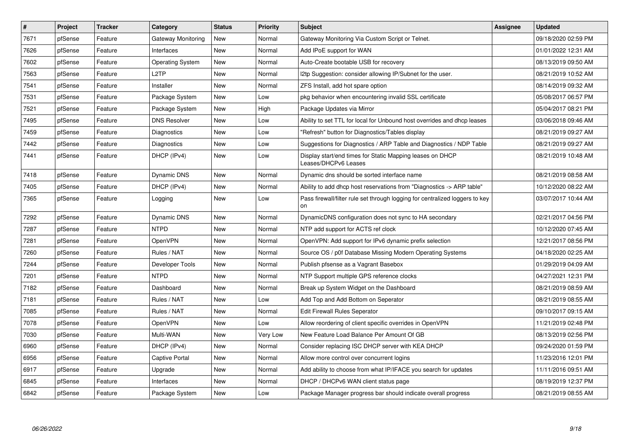| $\sharp$ | Project | <b>Tracker</b> | Category                | <b>Status</b> | <b>Priority</b> | <b>Subject</b>                                                                    | Assignee | <b>Updated</b>      |
|----------|---------|----------------|-------------------------|---------------|-----------------|-----------------------------------------------------------------------------------|----------|---------------------|
| 7671     | pfSense | Feature        | Gateway Monitoring      | <b>New</b>    | Normal          | Gateway Monitoring Via Custom Script or Telnet.                                   |          | 09/18/2020 02:59 PM |
| 7626     | pfSense | Feature        | Interfaces              | New           | Normal          | Add IPoE support for WAN                                                          |          | 01/01/2022 12:31 AM |
| 7602     | pfSense | Feature        | <b>Operating System</b> | New           | Normal          | Auto-Create bootable USB for recovery                                             |          | 08/13/2019 09:50 AM |
| 7563     | pfSense | Feature        | L <sub>2</sub> TP       | New           | Normal          | 12tp Suggestion: consider allowing IP/Subnet for the user.                        |          | 08/21/2019 10:52 AM |
| 7541     | pfSense | Feature        | Installer               | New           | Normal          | ZFS Install, add hot spare option                                                 |          | 08/14/2019 09:32 AM |
| 7531     | pfSense | Feature        | Package System          | <b>New</b>    | Low             | pkg behavior when encountering invalid SSL certificate                            |          | 05/08/2017 06:57 PM |
| 7521     | pfSense | Feature        | Package System          | <b>New</b>    | High            | Package Updates via Mirror                                                        |          | 05/04/2017 08:21 PM |
| 7495     | pfSense | Feature        | <b>DNS Resolver</b>     | New           | Low             | Ability to set TTL for local for Unbound host overrides and dhcp leases           |          | 03/06/2018 09:46 AM |
| 7459     | pfSense | Feature        | Diagnostics             | New           | Low             | "Refresh" button for Diagnostics/Tables display                                   |          | 08/21/2019 09:27 AM |
| 7442     | pfSense | Feature        | Diagnostics             | New           | Low             | Suggestions for Diagnostics / ARP Table and Diagnostics / NDP Table               |          | 08/21/2019 09:27 AM |
| 7441     | pfSense | Feature        | DHCP (IPv4)             | <b>New</b>    | Low             | Display start/end times for Static Mapping leases on DHCP<br>Leases/DHCPv6 Leases |          | 08/21/2019 10:48 AM |
| 7418     | pfSense | Feature        | Dynamic DNS             | <b>New</b>    | Normal          | Dynamic dns should be sorted interface name                                       |          | 08/21/2019 08:58 AM |
| 7405     | pfSense | Feature        | DHCP (IPv4)             | New           | Normal          | Ability to add dhcp host reservations from "Diagnostics -> ARP table"             |          | 10/12/2020 08:22 AM |
| 7365     | pfSense | Feature        | Logging                 | New           | Low             | Pass firewall/filter rule set through logging for centralized loggers to key      |          | 03/07/2017 10:44 AM |
| 7292     | pfSense | Feature        | Dynamic DNS             | New           | Normal          | DynamicDNS configuration does not sync to HA secondary                            |          | 02/21/2017 04:56 PM |
| 7287     | pfSense | Feature        | <b>NTPD</b>             | <b>New</b>    | Normal          | NTP add support for ACTS ref clock                                                |          | 10/12/2020 07:45 AM |
| 7281     | pfSense | Feature        | OpenVPN                 | New           | Normal          | OpenVPN: Add support for IPv6 dynamic prefix selection                            |          | 12/21/2017 08:56 PM |
| 7260     | pfSense | Feature        | Rules / NAT             | New           | Normal          | Source OS / p0f Database Missing Modern Operating Systems                         |          | 04/18/2020 02:25 AM |
| 7244     | pfSense | Feature        | Developer Tools         | New           | Normal          | Publish pfsense as a Vagrant Basebox                                              |          | 01/29/2019 04:09 AM |
| 7201     | pfSense | Feature        | <b>NTPD</b>             | <b>New</b>    | Normal          | NTP Support multiple GPS reference clocks                                         |          | 04/27/2021 12:31 PM |
| 7182     | pfSense | Feature        | Dashboard               | New           | Normal          | Break up System Widget on the Dashboard                                           |          | 08/21/2019 08:59 AM |
| 7181     | pfSense | Feature        | Rules / NAT             | New           | Low             | Add Top and Add Bottom on Seperator                                               |          | 08/21/2019 08:55 AM |
| 7085     | pfSense | Feature        | Rules / NAT             | New           | Normal          | <b>Edit Firewall Rules Seperator</b>                                              |          | 09/10/2017 09:15 AM |
| 7078     | pfSense | Feature        | OpenVPN                 | New           | Low             | Allow reordering of client specific overrides in OpenVPN                          |          | 11/21/2019 02:48 PM |
| 7030     | pfSense | Feature        | Multi-WAN               | New           | Very Low        | New Feature Load Balance Per Amount Of GB                                         |          | 08/13/2019 02:56 PM |
| 6960     | pfSense | Feature        | DHCP (IPv4)             | New           | Normal          | Consider replacing ISC DHCP server with KEA DHCP                                  |          | 09/24/2020 01:59 PM |
| 6956     | pfSense | Feature        | Captive Portal          | New           | Normal          | Allow more control over concurrent logins                                         |          | 11/23/2016 12:01 PM |
| 6917     | pfSense | Feature        | Upgrade                 | New           | Normal          | Add ability to choose from what IP/IFACE you search for updates                   |          | 11/11/2016 09:51 AM |
| 6845     | pfSense | Feature        | Interfaces              | New           | Normal          | DHCP / DHCPv6 WAN client status page                                              |          | 08/19/2019 12:37 PM |
| 6842     | pfSense | Feature        | Package System          | New           | Low             | Package Manager progress bar should indicate overall progress                     |          | 08/21/2019 08:55 AM |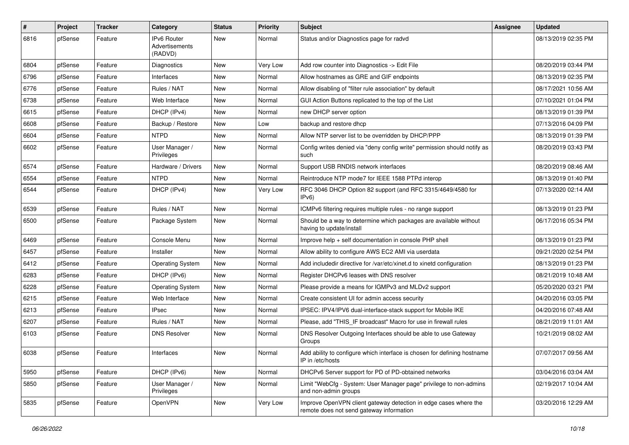| #    | Project | <b>Tracker</b> | Category                                 | <b>Status</b> | <b>Priority</b> | Subject                                                                                                      | Assignee | <b>Updated</b>      |
|------|---------|----------------|------------------------------------------|---------------|-----------------|--------------------------------------------------------------------------------------------------------------|----------|---------------------|
| 6816 | pfSense | Feature        | IPv6 Router<br>Advertisements<br>(RADVD) | <b>New</b>    | Normal          | Status and/or Diagnostics page for radvd                                                                     |          | 08/13/2019 02:35 PM |
| 6804 | pfSense | Feature        | Diagnostics                              | <b>New</b>    | Very Low        | Add row counter into Diagnostics -> Edit File                                                                |          | 08/20/2019 03:44 PM |
| 6796 | pfSense | Feature        | Interfaces                               | <b>New</b>    | Normal          | Allow hostnames as GRE and GIF endpoints                                                                     |          | 08/13/2019 02:35 PM |
| 6776 | pfSense | Feature        | Rules / NAT                              | New           | Normal          | Allow disabling of "filter rule association" by default                                                      |          | 08/17/2021 10:56 AM |
| 6738 | pfSense | Feature        | Web Interface                            | New           | Normal          | GUI Action Buttons replicated to the top of the List                                                         |          | 07/10/2021 01:04 PM |
| 6615 | pfSense | Feature        | DHCP (IPv4)                              | <b>New</b>    | Normal          | new DHCP server option                                                                                       |          | 08/13/2019 01:39 PM |
| 6608 | pfSense | Feature        | Backup / Restore                         | New           | Low             | backup and restore dhcp                                                                                      |          | 07/13/2016 04:09 PM |
| 6604 | pfSense | Feature        | <b>NTPD</b>                              | <b>New</b>    | Normal          | Allow NTP server list to be overridden by DHCP/PPP                                                           |          | 08/13/2019 01:39 PM |
| 6602 | pfSense | Feature        | User Manager /<br>Privileges             | New           | Normal          | Config writes denied via "deny config write" permission should notify as<br>such                             |          | 08/20/2019 03:43 PM |
| 6574 | pfSense | Feature        | Hardware / Drivers                       | New           | Normal          | Support USB RNDIS network interfaces                                                                         |          | 08/20/2019 08:46 AM |
| 6554 | pfSense | Feature        | <b>NTPD</b>                              | <b>New</b>    | Normal          | Reintroduce NTP mode7 for IEEE 1588 PTPd interop                                                             |          | 08/13/2019 01:40 PM |
| 6544 | pfSense | Feature        | DHCP (IPv4)                              | New           | Very Low        | RFC 3046 DHCP Option 82 support (and RFC 3315/4649/4580 for<br>IPv6                                          |          | 07/13/2020 02:14 AM |
| 6539 | pfSense | Feature        | Rules / NAT                              | <b>New</b>    | Normal          | ICMPv6 filtering requires multiple rules - no range support                                                  |          | 08/13/2019 01:23 PM |
| 6500 | pfSense | Feature        | Package System                           | <b>New</b>    | Normal          | Should be a way to determine which packages are available without<br>having to update/install                |          | 06/17/2016 05:34 PM |
| 6469 | pfSense | Feature        | Console Menu                             | <b>New</b>    | Normal          | Improve help + self documentation in console PHP shell                                                       |          | 08/13/2019 01:23 PM |
| 6457 | pfSense | Feature        | Installer                                | <b>New</b>    | Normal          | Allow ability to configure AWS EC2 AMI via userdata                                                          |          | 09/21/2020 02:54 PM |
| 6412 | pfSense | Feature        | <b>Operating System</b>                  | New           | Normal          | Add includedir directive for /var/etc/xinet.d to xinetd configuration                                        |          | 08/13/2019 01:23 PM |
| 6283 | pfSense | Feature        | DHCP (IPv6)                              | <b>New</b>    | Normal          | Register DHCPv6 leases with DNS resolver                                                                     |          | 08/21/2019 10:48 AM |
| 6228 | pfSense | Feature        | <b>Operating System</b>                  | <b>New</b>    | Normal          | Please provide a means for IGMPv3 and MLDv2 support                                                          |          | 05/20/2020 03:21 PM |
| 6215 | pfSense | Feature        | Web Interface                            | <b>New</b>    | Normal          | Create consistent UI for admin access security                                                               |          | 04/20/2016 03:05 PM |
| 6213 | pfSense | Feature        | <b>IPsec</b>                             | <b>New</b>    | Normal          | IPSEC: IPV4/IPV6 dual-interface-stack support for Mobile IKE                                                 |          | 04/20/2016 07:48 AM |
| 6207 | pfSense | Feature        | Rules / NAT                              | New           | Normal          | Please, add "THIS_IF broadcast" Macro for use in firewall rules                                              |          | 08/21/2019 11:01 AM |
| 6103 | pfSense | Feature        | <b>DNS Resolver</b>                      | New           | Normal          | DNS Resolver Outgoing Interfaces should be able to use Gateway<br>Groups                                     |          | 10/21/2019 08:02 AM |
| 6038 | pfSense | Feature        | Interfaces                               | New           | Normal          | Add ability to configure which interface is chosen for defining hostname<br>IP in /etc/hosts                 |          | 07/07/2017 09:56 AM |
| 5950 | pfSense | Feature        | DHCP (IPv6)                              | New           | Normal          | DHCPv6 Server support for PD of PD-obtained networks                                                         |          | 03/04/2016 03:04 AM |
| 5850 | pfSense | Feature        | User Manager /<br>Privileges             | New           | Normal          | Limit "WebCfg - System: User Manager page" privilege to non-admins<br>and non-admin groups                   |          | 02/19/2017 10:04 AM |
| 5835 | pfSense | Feature        | OpenVPN                                  | New           | Very Low        | Improve OpenVPN client gateway detection in edge cases where the<br>remote does not send gateway information |          | 03/20/2016 12:29 AM |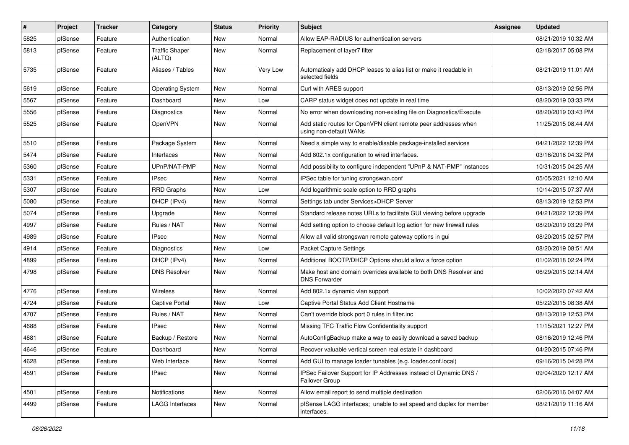| #    | Project | <b>Tracker</b> | Category                        | <b>Status</b> | <b>Priority</b> | Subject                                                                                   | Assignee | <b>Updated</b>      |
|------|---------|----------------|---------------------------------|---------------|-----------------|-------------------------------------------------------------------------------------------|----------|---------------------|
| 5825 | pfSense | Feature        | Authentication                  | New           | Normal          | Allow EAP-RADIUS for authentication servers                                               |          | 08/21/2019 10:32 AM |
| 5813 | pfSense | Feature        | <b>Traffic Shaper</b><br>(ALTQ) | <b>New</b>    | Normal          | Replacement of layer7 filter                                                              |          | 02/18/2017 05:08 PM |
| 5735 | pfSense | Feature        | Aliases / Tables                | <b>New</b>    | Very Low        | Automaticaly add DHCP leases to alias list or make it readable in<br>selected fields      |          | 08/21/2019 11:01 AM |
| 5619 | pfSense | Feature        | <b>Operating System</b>         | New           | Normal          | Curl with ARES support                                                                    |          | 08/13/2019 02:56 PM |
| 5567 | pfSense | Feature        | Dashboard                       | New           | Low             | CARP status widget does not update in real time                                           |          | 08/20/2019 03:33 PM |
| 5556 | pfSense | Feature        | Diagnostics                     | <b>New</b>    | Normal          | No error when downloading non-existing file on Diagnostics/Execute                        |          | 08/20/2019 03:43 PM |
| 5525 | pfSense | Feature        | <b>OpenVPN</b>                  | New           | Normal          | Add static routes for OpenVPN client remote peer addresses when<br>using non-default WANs |          | 11/25/2015 08:44 AM |
| 5510 | pfSense | Feature        | Package System                  | <b>New</b>    | Normal          | Need a simple way to enable/disable package-installed services                            |          | 04/21/2022 12:39 PM |
| 5474 | pfSense | Feature        | Interfaces                      | <b>New</b>    | Normal          | Add 802.1x configuration to wired interfaces.                                             |          | 03/16/2016 04:32 PM |
| 5360 | pfSense | Feature        | UPnP/NAT-PMP                    | <b>New</b>    | Normal          | Add possibility to configure independent "UPnP & NAT-PMP" instances                       |          | 10/31/2015 04:25 AM |
| 5331 | pfSense | Feature        | IPsec                           | New           | Normal          | IPSec table for tuning strongswan.conf                                                    |          | 05/05/2021 12:10 AM |
| 5307 | pfSense | Feature        | <b>RRD Graphs</b>               | New           | Low             | Add logarithmic scale option to RRD graphs                                                |          | 10/14/2015 07:37 AM |
| 5080 | pfSense | Feature        | DHCP (IPv4)                     | <b>New</b>    | Normal          | Settings tab under Services>DHCP Server                                                   |          | 08/13/2019 12:53 PM |
| 5074 | pfSense | Feature        | Upgrade                         | New           | Normal          | Standard release notes URLs to facilitate GUI viewing before upgrade                      |          | 04/21/2022 12:39 PM |
| 4997 | pfSense | Feature        | Rules / NAT                     | <b>New</b>    | Normal          | Add setting option to choose default log action for new firewall rules                    |          | 08/20/2019 03:29 PM |
| 4989 | pfSense | Feature        | <b>IPsec</b>                    | New           | Normal          | Allow all valid strongswan remote gateway options in gui                                  |          | 08/20/2015 02:57 PM |
| 4914 | pfSense | Feature        | <b>Diagnostics</b>              | <b>New</b>    | Low             | Packet Capture Settings                                                                   |          | 08/20/2019 08:51 AM |
| 4899 | pfSense | Feature        | DHCP (IPv4)                     | <b>New</b>    | Normal          | Additional BOOTP/DHCP Options should allow a force option                                 |          | 01/02/2018 02:24 PM |
| 4798 | pfSense | Feature        | <b>DNS Resolver</b>             | New           | Normal          | Make host and domain overrides available to both DNS Resolver and<br><b>DNS Forwarder</b> |          | 06/29/2015 02:14 AM |
| 4776 | pfSense | Feature        | <b>Wireless</b>                 | New           | Normal          | Add 802.1x dynamic vlan support                                                           |          | 10/02/2020 07:42 AM |
| 4724 | pfSense | Feature        | <b>Captive Portal</b>           | <b>New</b>    | Low             | Captive Portal Status Add Client Hostname                                                 |          | 05/22/2015 08:38 AM |
| 4707 | pfSense | Feature        | Rules / NAT                     | <b>New</b>    | Normal          | Can't override block port 0 rules in filter.inc                                           |          | 08/13/2019 12:53 PM |
| 4688 | pfSense | Feature        | <b>IPsec</b>                    | New           | Normal          | Missing TFC Traffic Flow Confidentiality support                                          |          | 11/15/2021 12:27 PM |
| 4681 | pfSense | Feature        | Backup / Restore                | New           | Normal          | AutoConfigBackup make a way to easily download a saved backup                             |          | 08/16/2019 12:46 PM |
| 4646 | pfSense | Feature        | Dashboard                       | New           | Normal          | Recover valuable vertical screen real estate in dashboard                                 |          | 04/20/2015 07:46 PM |
| 4628 | pfSense | Feature        | Web Interface                   | New           | Normal          | Add GUI to manage loader tunables (e.g. loader.conf.local)                                |          | 09/16/2015 04:28 PM |
| 4591 | pfSense | Feature        | IPsec                           | New           | Normal          | IPSec Failover Support for IP Addresses instead of Dynamic DNS /<br>Failover Group        |          | 09/04/2020 12:17 AM |
| 4501 | pfSense | Feature        | Notifications                   | New           | Normal          | Allow email report to send multiple destination                                           |          | 02/06/2016 04:07 AM |
| 4499 | pfSense | Feature        | <b>LAGG Interfaces</b>          | New           | Normal          | pfSense LAGG interfaces; unable to set speed and duplex for member<br>interfaces.         |          | 08/21/2019 11:16 AM |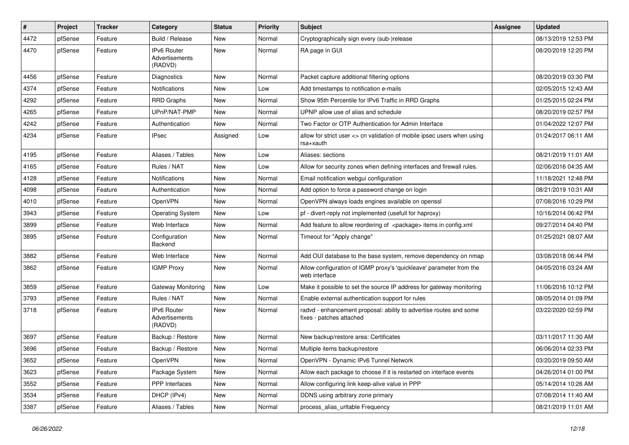| #    | Project | <b>Tracker</b> | Category                                        | <b>Status</b> | <b>Priority</b> | Subject                                                                                        | <b>Assignee</b> | <b>Updated</b>      |
|------|---------|----------------|-------------------------------------------------|---------------|-----------------|------------------------------------------------------------------------------------------------|-----------------|---------------------|
| 4472 | pfSense | Feature        | Build / Release                                 | New           | Normal          | Cryptographically sign every (sub-)release                                                     |                 | 08/13/2019 12:53 PM |
| 4470 | pfSense | Feature        | <b>IPv6 Router</b><br>Advertisements<br>(RADVD) | New           | Normal          | RA page in GUI                                                                                 |                 | 08/20/2019 12:20 PM |
| 4456 | pfSense | Feature        | Diagnostics                                     | <b>New</b>    | Normal          | Packet capture additional filtering options                                                    |                 | 08/20/2019 03:30 PM |
| 4374 | pfSense | Feature        | <b>Notifications</b>                            | New           | Low             | Add timestamps to notification e-mails                                                         |                 | 02/05/2015 12:43 AM |
| 4292 | pfSense | Feature        | <b>RRD Graphs</b>                               | New           | Normal          | Show 95th Percentile for IPv6 Traffic in RRD Graphs                                            |                 | 01/25/2015 02:24 PM |
| 4265 | pfSense | Feature        | UPnP/NAT-PMP                                    | New           | Normal          | UPNP allow use of alias and schedule                                                           |                 | 08/20/2019 02:57 PM |
| 4242 | pfSense | Feature        | Authentication                                  | New           | Normal          | Two Factor or OTP Authentication for Admin Interface                                           |                 | 01/04/2022 12:07 PM |
| 4234 | pfSense | Feature        | <b>IPsec</b>                                    | Assigned      | Low             | allow for strict user <> cn validation of mobile ipsec users when using<br>rsa+xauth           |                 | 01/24/2017 06:11 AM |
| 4195 | pfSense | Feature        | Aliases / Tables                                | New           | Low             | Aliases: sections                                                                              |                 | 08/21/2019 11:01 AM |
| 4165 | pfSense | Feature        | Rules / NAT                                     | <b>New</b>    | Low             | Allow for security zones when defining interfaces and firewall rules.                          |                 | 02/06/2016 04:35 AM |
| 4128 | pfSense | Feature        | <b>Notifications</b>                            | New           | Normal          | Email notification webgui configuration                                                        |                 | 11/18/2021 12:48 PM |
| 4098 | pfSense | Feature        | Authentication                                  | New           | Normal          | Add option to force a password change on login                                                 |                 | 08/21/2019 10:31 AM |
| 4010 | pfSense | Feature        | OpenVPN                                         | <b>New</b>    | Normal          | OpenVPN always loads engines available on openssl                                              |                 | 07/08/2016 10:29 PM |
| 3943 | pfSense | Feature        | <b>Operating System</b>                         | New           | Low             | pf - divert-reply not implemented (usefull for haproxy)                                        |                 | 10/16/2014 06:42 PM |
| 3899 | pfSense | Feature        | Web Interface                                   | <b>New</b>    | Normal          | Add feature to allow reordering of <package> items in config.xml</package>                     |                 | 09/27/2014 04:40 PM |
| 3895 | pfSense | Feature        | Configuration<br>Backend                        | New           | Normal          | Timeout for "Apply change"                                                                     |                 | 01/25/2021 08:07 AM |
| 3882 | pfSense | Feature        | Web Interface                                   | New           | Normal          | Add OUI database to the base system, remove dependency on nmap                                 |                 | 03/08/2018 06:44 PM |
| 3862 | pfSense | Feature        | <b>IGMP Proxy</b>                               | New           | Normal          | Allow configuration of IGMP proxy's 'quickleave' parameter from the<br>web interface           |                 | 04/05/2016 03:24 AM |
| 3859 | pfSense | Feature        | Gateway Monitoring                              | New           | Low             | Make it possible to set the source IP address for gateway monitoring                           |                 | 11/06/2016 10:12 PM |
| 3793 | pfSense | Feature        | Rules / NAT                                     | <b>New</b>    | Normal          | Enable external authentication support for rules                                               |                 | 08/05/2014 01:09 PM |
| 3718 | pfSense | Feature        | <b>IPv6 Router</b><br>Advertisements<br>(RADVD) | New           | Normal          | radvd - enhancement proposal: ability to advertise routes and some<br>fixes - patches attached |                 | 03/22/2020 02:59 PM |
| 3697 | pfSense | Feature        | Backup / Restore                                | <b>New</b>    | Normal          | New backup/restore area: Certificates                                                          |                 | 03/11/2017 11:30 AM |
| 3696 | pfSense | Feature        | Backup / Restore                                | New           | Normal          | Multiple items backup/restore                                                                  |                 | 06/06/2014 02:33 PM |
| 3652 | pfSense | Feature        | OpenVPN                                         | New           | Normal          | OpenVPN - Dynamic IPv6 Tunnel Network                                                          |                 | 03/20/2019 09:50 AM |
| 3623 | pfSense | Feature        | Package System                                  | <b>New</b>    | Normal          | Allow each package to choose if it is restarted on interface events                            |                 | 04/26/2014 01:00 PM |
| 3552 | pfSense | Feature        | PPP Interfaces                                  | New           | Normal          | Allow configuring link keep-alive value in PPP                                                 |                 | 05/14/2014 10:26 AM |
| 3534 | pfSense | Feature        | DHCP (IPv4)                                     | New           | Normal          | DDNS using arbitrary zone primary                                                              |                 | 07/08/2014 11:40 AM |
| 3387 | pfSense | Feature        | Aliases / Tables                                | New           | Normal          | process_alias_urltable Frequency                                                               |                 | 08/21/2019 11:01 AM |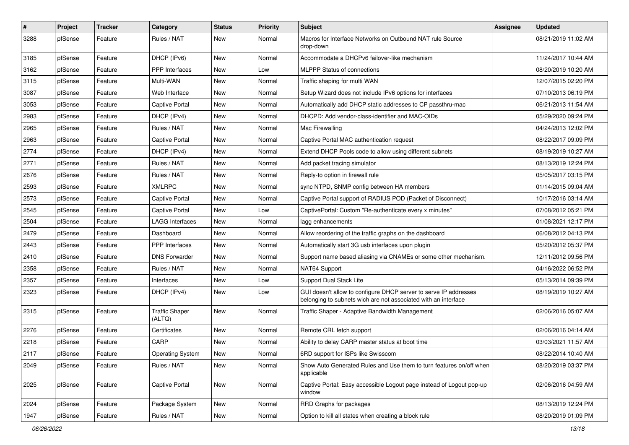| $\vert$ # | Project | <b>Tracker</b> | Category                        | <b>Status</b> | <b>Priority</b> | Subject                                                                                                                            | <b>Assignee</b> | <b>Updated</b>      |
|-----------|---------|----------------|---------------------------------|---------------|-----------------|------------------------------------------------------------------------------------------------------------------------------------|-----------------|---------------------|
| 3288      | pfSense | Feature        | Rules / NAT                     | New           | Normal          | Macros for Interface Networks on Outbound NAT rule Source<br>drop-down                                                             |                 | 08/21/2019 11:02 AM |
| 3185      | pfSense | Feature        | DHCP (IPv6)                     | New           | Normal          | Accommodate a DHCPv6 failover-like mechanism                                                                                       |                 | 11/24/2017 10:44 AM |
| 3162      | pfSense | Feature        | <b>PPP</b> Interfaces           | New           | Low             | <b>MLPPP Status of connections</b>                                                                                                 |                 | 08/20/2019 10:20 AM |
| 3115      | pfSense | Feature        | Multi-WAN                       | <b>New</b>    | Normal          | Traffic shaping for multi WAN                                                                                                      |                 | 12/07/2015 02:20 PM |
| 3087      | pfSense | Feature        | Web Interface                   | New           | Normal          | Setup Wizard does not include IPv6 options for interfaces                                                                          |                 | 07/10/2013 06:19 PM |
| 3053      | pfSense | Feature        | <b>Captive Portal</b>           | New           | Normal          | Automatically add DHCP static addresses to CP passthru-mac                                                                         |                 | 06/21/2013 11:54 AM |
| 2983      | pfSense | Feature        | DHCP (IPv4)                     | New           | Normal          | DHCPD: Add vendor-class-identifier and MAC-OIDs                                                                                    |                 | 05/29/2020 09:24 PM |
| 2965      | pfSense | Feature        | Rules / NAT                     | New           | Normal          | Mac Firewalling                                                                                                                    |                 | 04/24/2013 12:02 PM |
| 2963      | pfSense | Feature        | <b>Captive Portal</b>           | New           | Normal          | Captive Portal MAC authentication request                                                                                          |                 | 08/22/2017 09:09 PM |
| 2774      | pfSense | Feature        | DHCP (IPv4)                     | New           | Normal          | Extend DHCP Pools code to allow using different subnets                                                                            |                 | 08/19/2019 10:27 AM |
| 2771      | pfSense | Feature        | Rules / NAT                     | New           | Normal          | Add packet tracing simulator                                                                                                       |                 | 08/13/2019 12:24 PM |
| 2676      | pfSense | Feature        | Rules / NAT                     | New           | Normal          | Reply-to option in firewall rule                                                                                                   |                 | 05/05/2017 03:15 PM |
| 2593      | pfSense | Feature        | <b>XMLRPC</b>                   | New           | Normal          | sync NTPD, SNMP config between HA members                                                                                          |                 | 01/14/2015 09:04 AM |
| 2573      | pfSense | Feature        | <b>Captive Portal</b>           | New           | Normal          | Captive Portal support of RADIUS POD (Packet of Disconnect)                                                                        |                 | 10/17/2016 03:14 AM |
| 2545      | pfSense | Feature        | <b>Captive Portal</b>           | New           | Low             | CaptivePortal: Custom "Re-authenticate every x minutes"                                                                            |                 | 07/08/2012 05:21 PM |
| 2504      | pfSense | Feature        | LAGG Interfaces                 | New           | Normal          | lagg enhancements                                                                                                                  |                 | 01/08/2021 12:17 PM |
| 2479      | pfSense | Feature        | Dashboard                       | <b>New</b>    | Normal          | Allow reordering of the traffic graphs on the dashboard                                                                            |                 | 06/08/2012 04:13 PM |
| 2443      | pfSense | Feature        | <b>PPP</b> Interfaces           | New           | Normal          | Automatically start 3G usb interfaces upon plugin                                                                                  |                 | 05/20/2012 05:37 PM |
| 2410      | pfSense | Feature        | <b>DNS Forwarder</b>            | New           | Normal          | Support name based aliasing via CNAMEs or some other mechanism.                                                                    |                 | 12/11/2012 09:56 PM |
| 2358      | pfSense | Feature        | Rules / NAT                     | New           | Normal          | NAT64 Support                                                                                                                      |                 | 04/16/2022 06:52 PM |
| 2357      | pfSense | Feature        | Interfaces                      | New           | Low             | Support Dual Stack Lite                                                                                                            |                 | 05/13/2014 09:39 PM |
| 2323      | pfSense | Feature        | DHCP (IPv4)                     | New           | Low             | GUI doesn't allow to configure DHCP server to serve IP addresses<br>belonging to subnets wich are not associated with an interface |                 | 08/19/2019 10:27 AM |
| 2315      | pfSense | Feature        | <b>Traffic Shaper</b><br>(ALTQ) | New           | Normal          | Traffic Shaper - Adaptive Bandwidth Management                                                                                     |                 | 02/06/2016 05:07 AM |
| 2276      | pfSense | Feature        | Certificates                    | New           | Normal          | Remote CRL fetch support                                                                                                           |                 | 02/06/2016 04:14 AM |
| 2218      | pfSense | Feature        | CARP                            | New           | Normal          | Ability to delay CARP master status at boot time                                                                                   |                 | 03/03/2021 11:57 AM |
| 2117      | pfSense | Feature        | Operating System                | New           | Normal          | 6RD support for ISPs like Swisscom                                                                                                 |                 | 08/22/2014 10:40 AM |
| 2049      | pfSense | Feature        | Rules / NAT                     | New           | Normal          | Show Auto Generated Rules and Use them to turn features on/off when<br>applicable                                                  |                 | 08/20/2019 03:37 PM |
| 2025      | pfSense | Feature        | <b>Captive Portal</b>           | New           | Normal          | Captive Portal: Easy accessible Logout page instead of Logout pop-up<br>window                                                     |                 | 02/06/2016 04:59 AM |
| 2024      | pfSense | Feature        | Package System                  | New           | Normal          | RRD Graphs for packages                                                                                                            |                 | 08/13/2019 12:24 PM |
| 1947      | pfSense | Feature        | Rules / NAT                     | New           | Normal          | Option to kill all states when creating a block rule                                                                               |                 | 08/20/2019 01:09 PM |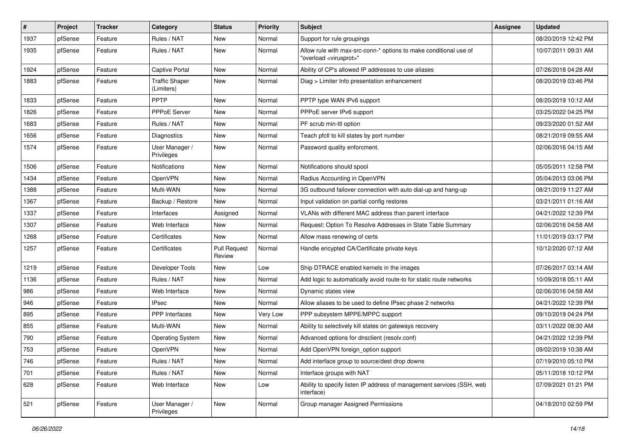| #    | Project | <b>Tracker</b> | Category                            | <b>Status</b>                 | <b>Priority</b> | Subject                                                                                                 | <b>Assignee</b> | <b>Updated</b>      |
|------|---------|----------------|-------------------------------------|-------------------------------|-----------------|---------------------------------------------------------------------------------------------------------|-----------------|---------------------|
| 1937 | pfSense | Feature        | Rules / NAT                         | New                           | Normal          | Support for rule groupings                                                                              |                 | 08/20/2019 12:42 PM |
| 1935 | pfSense | Feature        | Rules / NAT                         | <b>New</b>                    | Normal          | Allow rule with max-src-conn-* options to make conditional use of<br>"overload <virusprot>"</virusprot> |                 | 10/07/2011 09:31 AM |
| 1924 | pfSense | Feature        | Captive Portal                      | <b>New</b>                    | Normal          | Ability of CP's allowed IP addresses to use aliases                                                     |                 | 07/26/2018 04:28 AM |
| 1883 | pfSense | Feature        | <b>Traffic Shaper</b><br>(Limiters) | <b>New</b>                    | Normal          | Diag > Limiter Info presentation enhancement                                                            |                 | 08/20/2019 03:46 PM |
| 1833 | pfSense | Feature        | PPTP                                | New                           | Normal          | PPTP type WAN IPv6 support                                                                              |                 | 08/20/2019 10:12 AM |
| 1826 | pfSense | Feature        | <b>PPPoE Server</b>                 | New                           | Normal          | PPPoE server IPv6 support                                                                               |                 | 03/25/2022 04:25 PM |
| 1683 | pfSense | Feature        | Rules / NAT                         | New                           | Normal          | PF scrub min-ttl option                                                                                 |                 | 09/23/2020 01:52 AM |
| 1656 | pfSense | Feature        | Diagnostics                         | <b>New</b>                    | Normal          | Teach pfctl to kill states by port number                                                               |                 | 08/21/2019 09:55 AM |
| 1574 | pfSense | Feature        | User Manager /<br>Privileges        | <b>New</b>                    | Normal          | Password quality enforcment.                                                                            |                 | 02/06/2016 04:15 AM |
| 1506 | pfSense | Feature        | <b>Notifications</b>                | New                           | Normal          | Notifications should spool                                                                              |                 | 05/05/2011 12:58 PM |
| 1434 | pfSense | Feature        | OpenVPN                             | New                           | Normal          | Radius Accounting in OpenVPN                                                                            |                 | 05/04/2013 03:06 PM |
| 1388 | pfSense | Feature        | Multi-WAN                           | <b>New</b>                    | Normal          | 3G outbound failover connection with auto dial-up and hang-up                                           |                 | 08/21/2019 11:27 AM |
| 1367 | pfSense | Feature        | Backup / Restore                    | New                           | Normal          | Input validation on partial config restores                                                             |                 | 03/21/2011 01:16 AM |
| 1337 | pfSense | Feature        | Interfaces                          | Assigned                      | Normal          | VLANs with different MAC address than parent interface                                                  |                 | 04/21/2022 12:39 PM |
| 1307 | pfSense | Feature        | Web Interface                       | New                           | Normal          | Request: Option To Resolve Addresses in State Table Summary                                             |                 | 02/06/2016 04:58 AM |
| 1268 | pfSense | Feature        | Certificates                        | New                           | Normal          | Allow mass renewing of certs                                                                            |                 | 11/01/2019 03:17 PM |
| 1257 | pfSense | Feature        | Certificates                        | <b>Pull Request</b><br>Review | Normal          | Handle encypted CA/Certificate private keys                                                             |                 | 10/12/2020 07:12 AM |
| 1219 | pfSense | Feature        | Developer Tools                     | New                           | Low             | Ship DTRACE enabled kernels in the images                                                               |                 | 07/26/2017 03:14 AM |
| 1136 | pfSense | Feature        | Rules / NAT                         | <b>New</b>                    | Normal          | Add logic to automatically avoid route-to for static route networks                                     |                 | 10/09/2018 05:11 AM |
| 986  | pfSense | Feature        | Web Interface                       | New                           | Normal          | Dynamic states view                                                                                     |                 | 02/06/2016 04:58 AM |
| 946  | pfSense | Feature        | <b>IPsec</b>                        | New                           | Normal          | Allow aliases to be used to define IPsec phase 2 networks                                               |                 | 04/21/2022 12:39 PM |
| 895  | pfSense | Feature        | <b>PPP</b> Interfaces               | New                           | Very Low        | PPP subsystem MPPE/MPPC support                                                                         |                 | 09/10/2019 04:24 PM |
| 855  | pfSense | Feature        | Multi-WAN                           | <b>New</b>                    | Normal          | Ability to selectively kill states on gateways recovery                                                 |                 | 03/11/2022 08:30 AM |
| 790  | pfSense | Feature        | <b>Operating System</b>             | New                           | Normal          | Advanced options for dnsclient (resolv.conf)                                                            |                 | 04/21/2022 12:39 PM |
| 753  | pfSense | Feature        | OpenVPN                             | <b>New</b>                    | Normal          | Add OpenVPN foreign_option support                                                                      |                 | 09/02/2019 10:38 AM |
| 746  | pfSense | Feature        | Rules / NAT                         | New                           | Normal          | Add interface group to source/dest drop downs                                                           |                 | 07/19/2010 05:10 PM |
| 701  | pfSense | Feature        | Rules / NAT                         | New                           | Normal          | Interface groups with NAT                                                                               |                 | 05/11/2018 10:12 PM |
| 628  | pfSense | Feature        | Web Interface                       | New                           | Low             | Ability to specify listen IP address of management services (SSH, web<br>interface)                     |                 | 07/09/2021 01:21 PM |
| 521  | pfSense | Feature        | User Manager /<br>Privileges        | New                           | Normal          | Group manager Assigned Permissions                                                                      |                 | 04/18/2010 02:59 PM |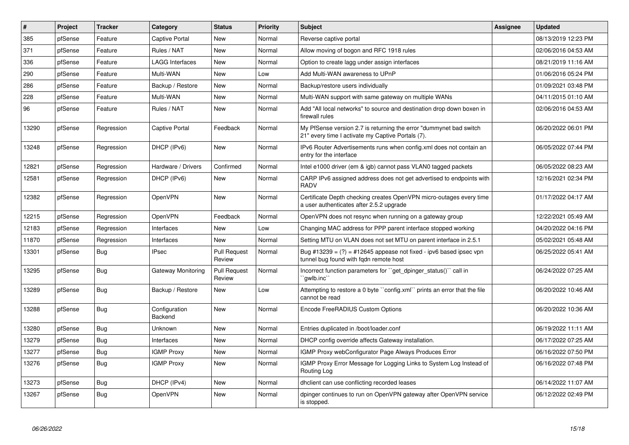| $\vert$ # | Project | <b>Tracker</b> | Category                 | <b>Status</b>                 | <b>Priority</b> | <b>Subject</b>                                                                                                          | <b>Assignee</b> | <b>Updated</b>      |
|-----------|---------|----------------|--------------------------|-------------------------------|-----------------|-------------------------------------------------------------------------------------------------------------------------|-----------------|---------------------|
| 385       | pfSense | Feature        | <b>Captive Portal</b>    | New                           | Normal          | Reverse captive portal                                                                                                  |                 | 08/13/2019 12:23 PM |
| 371       | pfSense | Feature        | Rules / NAT              | New                           | Normal          | Allow moving of bogon and RFC 1918 rules                                                                                |                 | 02/06/2016 04:53 AM |
| 336       | pfSense | Feature        | <b>LAGG Interfaces</b>   | New                           | Normal          | Option to create lagg under assign interfaces                                                                           |                 | 08/21/2019 11:16 AM |
| 290       | pfSense | Feature        | Multi-WAN                | New                           | Low             | Add Multi-WAN awareness to UPnP                                                                                         |                 | 01/06/2016 05:24 PM |
| 286       | pfSense | Feature        | Backup / Restore         | New                           | Normal          | Backup/restore users individually                                                                                       |                 | 01/09/2021 03:48 PM |
| 228       | pfSense | Feature        | Multi-WAN                | New                           | Normal          | Multi-WAN support with same gateway on multiple WANs                                                                    |                 | 04/11/2015 01:10 AM |
| 96        | pfSense | Feature        | Rules / NAT              | New                           | Normal          | Add "All local networks" to source and destination drop down boxen in<br>firewall rules                                 |                 | 02/06/2016 04:53 AM |
| 13290     | pfSense | Regression     | <b>Captive Portal</b>    | Feedback                      | Normal          | My PfSense version 2.7 is returning the error "dummynet bad switch<br>21" every time I activate my Captive Portals (7). |                 | 06/20/2022 06:01 PM |
| 13248     | pfSense | Regression     | DHCP (IPv6)              | <b>New</b>                    | Normal          | IPv6 Router Advertisements runs when config.xml does not contain an<br>entry for the interface                          |                 | 06/05/2022 07:44 PM |
| 12821     | pfSense | Regression     | Hardware / Drivers       | Confirmed                     | Normal          | Intel e1000 driver (em & igb) cannot pass VLAN0 tagged packets                                                          |                 | 06/05/2022 08:23 AM |
| 12581     | pfSense | Regression     | DHCP (IPv6)              | <b>New</b>                    | Normal          | CARP IPv6 assigned address does not get advertised to endpoints with<br>RADV                                            |                 | 12/16/2021 02:34 PM |
| 12382     | pfSense | Regression     | OpenVPN                  | New                           | Normal          | Certificate Depth checking creates OpenVPN micro-outages every time<br>a user authenticates after 2.5.2 upgrade         |                 | 01/17/2022 04:17 AM |
| 12215     | pfSense | Regression     | OpenVPN                  | Feedback                      | Normal          | OpenVPN does not resync when running on a gateway group                                                                 |                 | 12/22/2021 05:49 AM |
| 12183     | pfSense | Regression     | Interfaces               | <b>New</b>                    | Low             | Changing MAC address for PPP parent interface stopped working                                                           |                 | 04/20/2022 04:16 PM |
| 11870     | pfSense | Regression     | Interfaces               | New                           | Normal          | Setting MTU on VLAN does not set MTU on parent interface in 2.5.1                                                       |                 | 05/02/2021 05:48 AM |
| 13301     | pfSense | <b>Bug</b>     | <b>IPsec</b>             | <b>Pull Request</b><br>Review | Normal          | Bug #13239 = $(?)$ = #12645 appease not fixed - ipv6 based ipsec vpn<br>tunnel bug found with fgdn remote host          |                 | 06/25/2022 05:41 AM |
| 13295     | pfSense | Bug            | Gateway Monitoring       | <b>Pull Request</b><br>Review | Normal          | Incorrect function parameters for "get_dpinger_status()" call in<br>`gwlb.inc``                                         |                 | 06/24/2022 07:25 AM |
| 13289     | pfSense | <b>Bug</b>     | Backup / Restore         | New                           | Low             | Attempting to restore a 0 byte "config.xml" prints an error that the file<br>cannot be read                             |                 | 06/20/2022 10:46 AM |
| 13288     | pfSense | Bug            | Configuration<br>Backend | New                           | Normal          | Encode FreeRADIUS Custom Options                                                                                        |                 | 06/20/2022 10:36 AM |
| 13280     | pfSense | Bug            | Unknown                  | <b>New</b>                    | Normal          | Entries duplicated in /boot/loader.conf                                                                                 |                 | 06/19/2022 11:11 AM |
| 13279     | pfSense | <b>Bug</b>     | Interfaces               | New                           | Normal          | DHCP config override affects Gateway installation.                                                                      |                 | 06/17/2022 07:25 AM |
| 13277     | pfSense | Bug            | <b>IGMP Proxy</b>        | New                           | Normal          | IGMP Proxy webConfigurator Page Always Produces Error                                                                   |                 | 06/16/2022 07:50 PM |
| 13276     | pfSense | Bug            | <b>IGMP Proxy</b>        | New                           | Normal          | IGMP Proxy Error Message for Logging Links to System Log Instead of<br>Routing Log                                      |                 | 06/16/2022 07:48 PM |
| 13273     | pfSense | <b>Bug</b>     | DHCP (IPv4)              | New                           | Normal          | dhclient can use conflicting recorded leases                                                                            |                 | 06/14/2022 11:07 AM |
| 13267     | pfSense | <b>Bug</b>     | OpenVPN                  | New                           | Normal          | dpinger continues to run on OpenVPN gateway after OpenVPN service<br>is stopped.                                        |                 | 06/12/2022 02:49 PM |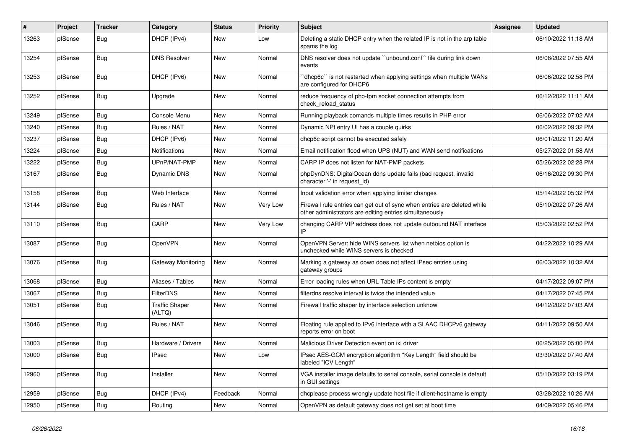| $\#$  | Project | <b>Tracker</b> | Category                        | <b>Status</b> | Priority | <b>Subject</b>                                                                                                                      | <b>Assignee</b> | <b>Updated</b>      |
|-------|---------|----------------|---------------------------------|---------------|----------|-------------------------------------------------------------------------------------------------------------------------------------|-----------------|---------------------|
| 13263 | pfSense | <b>Bug</b>     | DHCP (IPv4)                     | New           | Low      | Deleting a static DHCP entry when the related IP is not in the arp table<br>spams the log                                           |                 | 06/10/2022 11:18 AM |
| 13254 | pfSense | Bug            | <b>DNS Resolver</b>             | <b>New</b>    | Normal   | DNS resolver does not update "unbound.conf" file during link down<br>events                                                         |                 | 06/08/2022 07:55 AM |
| 13253 | pfSense | <b>Bug</b>     | DHCP (IPv6)                     | <b>New</b>    | Normal   | dhcp6c" is not restarted when applying settings when multiple WANs<br>are configured for DHCP6                                      |                 | 06/06/2022 02:58 PM |
| 13252 | pfSense | <b>Bug</b>     | Upgrade                         | <b>New</b>    | Normal   | reduce frequency of php-fpm socket connection attempts from<br>check_reload_status                                                  |                 | 06/12/2022 11:11 AM |
| 13249 | pfSense | Bug            | Console Menu                    | <b>New</b>    | Normal   | Running playback comands multiple times results in PHP error                                                                        |                 | 06/06/2022 07:02 AM |
| 13240 | pfSense | <b>Bug</b>     | Rules / NAT                     | <b>New</b>    | Normal   | Dynamic NPt entry UI has a couple quirks                                                                                            |                 | 06/02/2022 09:32 PM |
| 13237 | pfSense | Bug            | DHCP (IPv6)                     | <b>New</b>    | Normal   | dhcp6c script cannot be executed safely                                                                                             |                 | 06/01/2022 11:20 AM |
| 13224 | pfSense | Bug            | Notifications                   | <b>New</b>    | Normal   | Email notification flood when UPS (NUT) and WAN send notifications                                                                  |                 | 05/27/2022 01:58 AM |
| 13222 | pfSense | Bug            | UPnP/NAT-PMP                    | <b>New</b>    | Normal   | CARP IP does not listen for NAT-PMP packets                                                                                         |                 | 05/26/2022 02:28 PM |
| 13167 | pfSense | <b>Bug</b>     | <b>Dynamic DNS</b>              | <b>New</b>    | Normal   | phpDynDNS: DigitalOcean ddns update fails (bad request, invalid<br>character '-' in request id)                                     |                 | 06/16/2022 09:30 PM |
| 13158 | pfSense | Bug            | Web Interface                   | New           | Normal   | Input validation error when applying limiter changes                                                                                |                 | 05/14/2022 05:32 PM |
| 13144 | pfSense | <b>Bug</b>     | Rules / NAT                     | <b>New</b>    | Very Low | Firewall rule entries can get out of sync when entries are deleted while<br>other administrators are editing entries simultaneously |                 | 05/10/2022 07:26 AM |
| 13110 | pfSense | <b>Bug</b>     | CARP                            | <b>New</b>    | Very Low | changing CARP VIP address does not update outbound NAT interface<br>IP                                                              |                 | 05/03/2022 02:52 PM |
| 13087 | pfSense | Bug            | OpenVPN                         | <b>New</b>    | Normal   | OpenVPN Server: hide WINS servers list when netbios option is<br>unchecked while WINS servers is checked                            |                 | 04/22/2022 10:29 AM |
| 13076 | pfSense | <b>Bug</b>     | Gateway Monitoring              | <b>New</b>    | Normal   | Marking a gateway as down does not affect IPsec entries using<br>gateway groups                                                     |                 | 06/03/2022 10:32 AM |
| 13068 | pfSense | Bug            | Aliases / Tables                | <b>New</b>    | Normal   | Error loading rules when URL Table IPs content is empty                                                                             |                 | 04/17/2022 09:07 PM |
| 13067 | pfSense | <b>Bug</b>     | <b>FilterDNS</b>                | New           | Normal   | filterdns resolve interval is twice the intended value                                                                              |                 | 04/17/2022 07:45 PM |
| 13051 | pfSense | <b>Bug</b>     | <b>Traffic Shaper</b><br>(ALTQ) | <b>New</b>    | Normal   | Firewall traffic shaper by interface selection unknow                                                                               |                 | 04/12/2022 07:03 AM |
| 13046 | pfSense | <b>Bug</b>     | Rules / NAT                     | <b>New</b>    | Normal   | Floating rule applied to IPv6 interface with a SLAAC DHCPv6 gateway<br>reports error on boot                                        |                 | 04/11/2022 09:50 AM |
| 13003 | pfSense | Bug            | Hardware / Drivers              | <b>New</b>    | Normal   | Malicious Driver Detection event on ixl driver                                                                                      |                 | 06/25/2022 05:00 PM |
| 13000 | pfSense | Bug            | <b>IPsec</b>                    | New           | Low      | IPsec AES-GCM encryption algorithm "Key Length" field should be<br>labeled "ICV Length"                                             |                 | 03/30/2022 07:40 AM |
| 12960 | pfSense | <b>Bug</b>     | Installer                       | <b>New</b>    | Normal   | VGA installer image defaults to serial console, serial console is default<br>in GUI settings                                        |                 | 05/10/2022 03:19 PM |
| 12959 | pfSense | <b>Bug</b>     | DHCP (IPv4)                     | Feedback      | Normal   | dhoplease process wrongly update host file if client-hostname is empty                                                              |                 | 03/28/2022 10:26 AM |
| 12950 | pfSense | <b>Bug</b>     | Routing                         | <b>New</b>    | Normal   | OpenVPN as default gateway does not get set at boot time                                                                            |                 | 04/09/2022 05:46 PM |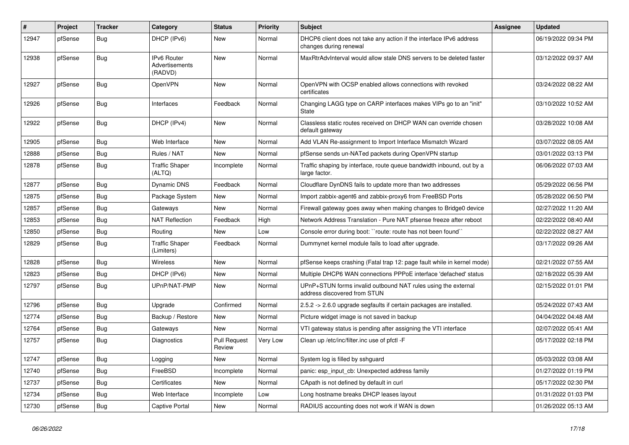| #     | Project | <b>Tracker</b> | Category                                        | <b>Status</b>                 | <b>Priority</b> | Subject                                                                                       | Assignee | <b>Updated</b>      |
|-------|---------|----------------|-------------------------------------------------|-------------------------------|-----------------|-----------------------------------------------------------------------------------------------|----------|---------------------|
| 12947 | pfSense | <b>Bug</b>     | DHCP (IPv6)                                     | New                           | Normal          | DHCP6 client does not take any action if the interface IPv6 address<br>changes during renewal |          | 06/19/2022 09:34 PM |
| 12938 | pfSense | <b>Bug</b>     | <b>IPv6 Router</b><br>Advertisements<br>(RADVD) | <b>New</b>                    | Normal          | MaxRtrAdvInterval would allow stale DNS servers to be deleted faster                          |          | 03/12/2022 09:37 AM |
| 12927 | pfSense | <b>Bug</b>     | OpenVPN                                         | <b>New</b>                    | Normal          | OpenVPN with OCSP enabled allows connections with revoked<br>certificates                     |          | 03/24/2022 08:22 AM |
| 12926 | pfSense | <b>Bug</b>     | Interfaces                                      | Feedback                      | Normal          | Changing LAGG type on CARP interfaces makes VIPs go to an "init"<br>State                     |          | 03/10/2022 10:52 AM |
| 12922 | pfSense | <b>Bug</b>     | DHCP (IPv4)                                     | New                           | Normal          | Classless static routes received on DHCP WAN can override chosen<br>default gateway           |          | 03/28/2022 10:08 AM |
| 12905 | pfSense | <b>Bug</b>     | Web Interface                                   | <b>New</b>                    | Normal          | Add VLAN Re-assignment to Import Interface Mismatch Wizard                                    |          | 03/07/2022 08:05 AM |
| 12888 | pfSense | Bug            | Rules / NAT                                     | <b>New</b>                    | Normal          | pfSense sends un-NATed packets during OpenVPN startup                                         |          | 03/01/2022 03:13 PM |
| 12878 | pfSense | Bug            | <b>Traffic Shaper</b><br>(ALTQ)                 | Incomplete                    | Normal          | Traffic shaping by interface, route queue bandwidth inbound, out by a<br>large factor.        |          | 06/06/2022 07:03 AM |
| 12877 | pfSense | Bug            | <b>Dynamic DNS</b>                              | Feedback                      | Normal          | Cloudflare DynDNS fails to update more than two addresses                                     |          | 05/29/2022 06:56 PM |
| 12875 | pfSense | <b>Bug</b>     | Package System                                  | <b>New</b>                    | Normal          | Import zabbix-agent6 and zabbix-proxy6 from FreeBSD Ports                                     |          | 05/28/2022 06:50 PM |
| 12857 | pfSense | <b>Bug</b>     | Gateways                                        | New                           | Normal          | Firewall gateway goes away when making changes to Bridge0 device                              |          | 02/27/2022 11:20 AM |
| 12853 | pfSense | <b>Bug</b>     | <b>NAT Reflection</b>                           | Feedback                      | High            | Network Address Translation - Pure NAT pfsense freeze after reboot                            |          | 02/22/2022 08:40 AM |
| 12850 | pfSense | <b>Bug</b>     | Routing                                         | New                           | Low             | Console error during boot: "route: route has not been found"                                  |          | 02/22/2022 08:27 AM |
| 12829 | pfSense | <b>Bug</b>     | <b>Traffic Shaper</b><br>(Limiters)             | Feedback                      | Normal          | Dummynet kernel module fails to load after upgrade.                                           |          | 03/17/2022 09:26 AM |
| 12828 | pfSense | Bug            | Wireless                                        | New                           | Normal          | pfSense keeps crashing (Fatal trap 12: page fault while in kernel mode)                       |          | 02/21/2022 07:55 AM |
| 12823 | pfSense | <b>Bug</b>     | DHCP (IPv6)                                     | New                           | Normal          | Multiple DHCP6 WAN connections PPPoE interface 'defached' status                              |          | 02/18/2022 05:39 AM |
| 12797 | pfSense | <b>Bug</b>     | UPnP/NAT-PMP                                    | New                           | Normal          | UPnP+STUN forms invalid outbound NAT rules using the external<br>address discovered from STUN |          | 02/15/2022 01:01 PM |
| 12796 | pfSense | Bug            | Upgrade                                         | Confirmed                     | Normal          | 2.5.2 -> 2.6.0 upgrade segfaults if certain packages are installed.                           |          | 05/24/2022 07:43 AM |
| 12774 | pfSense | <b>Bug</b>     | Backup / Restore                                | New                           | Normal          | Picture widget image is not saved in backup                                                   |          | 04/04/2022 04:48 AM |
| 12764 | pfSense | <b>Bug</b>     | Gateways                                        | New                           | Normal          | VTI gateway status is pending after assigning the VTI interface                               |          | 02/07/2022 05:41 AM |
| 12757 | pfSense | Bug            | Diagnostics                                     | <b>Pull Request</b><br>Review | Very Low        | Clean up /etc/inc/filter.inc use of pfctl -F                                                  |          | 05/17/2022 02:18 PM |
| 12747 | pfSense | Bug            | Logging                                         | New                           | Normal          | System log is filled by sshguard                                                              |          | 05/03/2022 03:08 AM |
| 12740 | pfSense | <b>Bug</b>     | FreeBSD                                         | Incomplete                    | Normal          | panic: esp input cb: Unexpected address family                                                |          | 01/27/2022 01:19 PM |
| 12737 | pfSense | Bug            | Certificates                                    | New                           | Normal          | CApath is not defined by default in curl                                                      |          | 05/17/2022 02:30 PM |
| 12734 | pfSense | <b>Bug</b>     | Web Interface                                   | Incomplete                    | Low             | Long hostname breaks DHCP leases layout                                                       |          | 01/31/2022 01:03 PM |
| 12730 | pfSense | Bug            | Captive Portal                                  | New                           | Normal          | RADIUS accounting does not work if WAN is down                                                |          | 01/26/2022 05:13 AM |